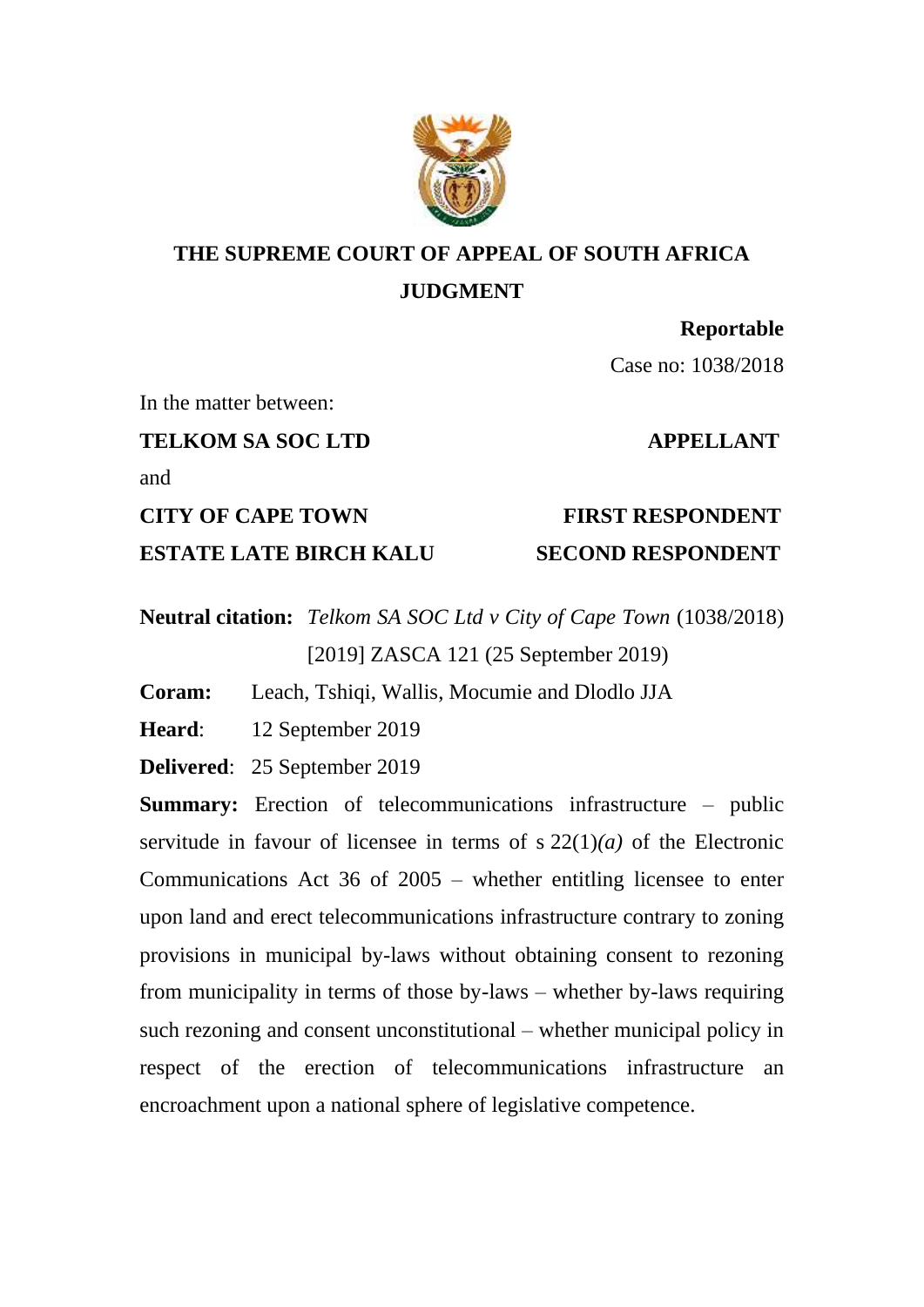

# **THE SUPREME COURT OF APPEAL OF SOUTH AFRICA JUDGMENT**

**Reportable**

Case no: 1038/2018

In the matter between:

**TELKOM SA SOC LTD APPELLANT**

and

**CITY OF CAPE TOWN FIRST RESPONDENT ESTATE LATE BIRCH KALU SECOND RESPONDENT**

**Neutral citation:** *Telkom SA SOC Ltd v City of Cape Town* (1038/2018) [2019] ZASCA 121 (25 September 2019)

**Coram:** Leach, Tshiqi, Wallis, Mocumie and Dlodlo JJA

**Heard**: 12 September 2019

**Delivered**: 25 September 2019

**Summary:** Erection of telecommunications infrastructure – public servitude in favour of licensee in terms of s 22(1)*(a)* of the Electronic Communications Act 36 of 2005 – whether entitling licensee to enter upon land and erect telecommunications infrastructure contrary to zoning provisions in municipal by-laws without obtaining consent to rezoning from municipality in terms of those by-laws – whether by-laws requiring such rezoning and consent unconstitutional – whether municipal policy in respect of the erection of telecommunications infrastructure an encroachment upon a national sphere of legislative competence.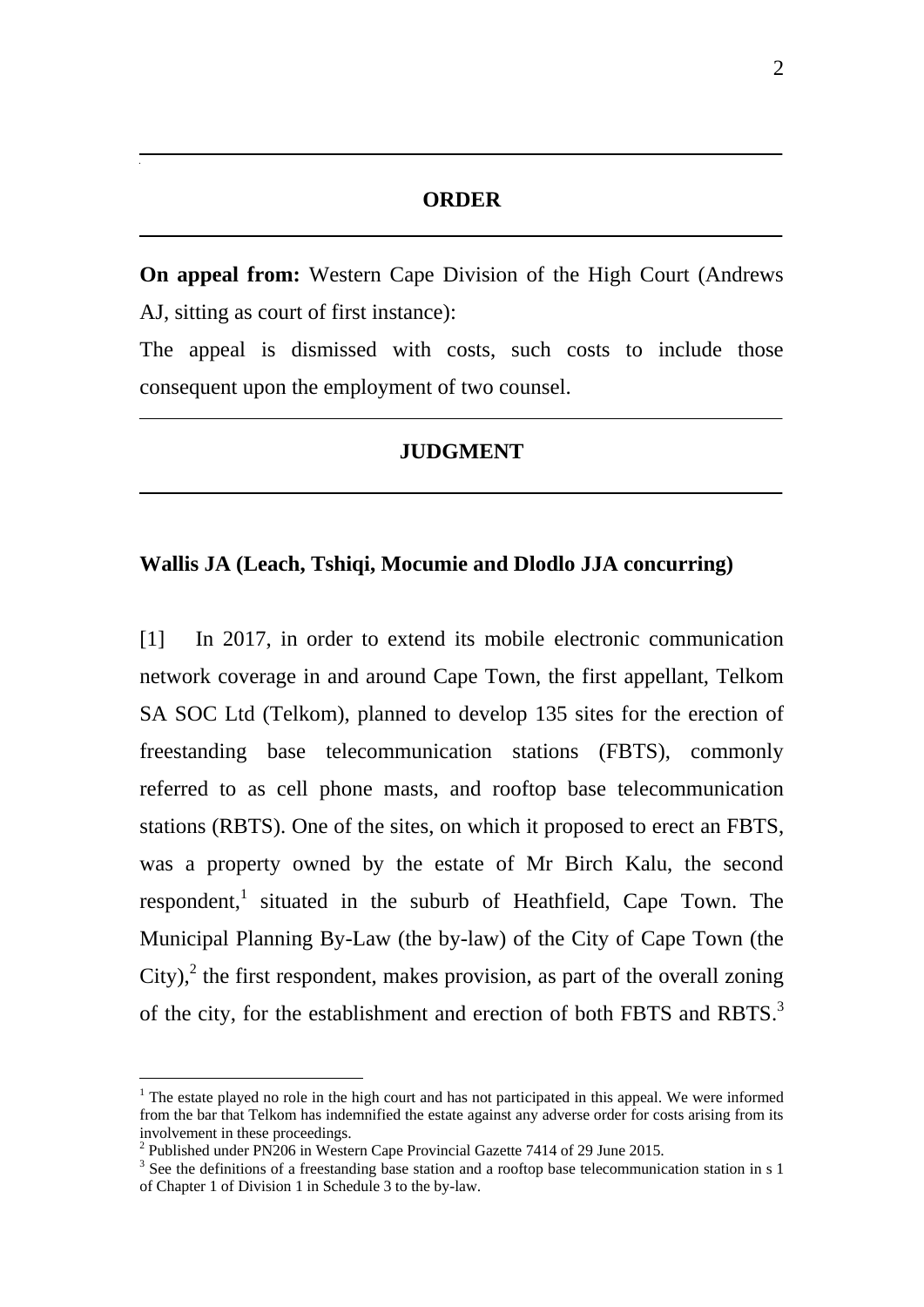# **ORDER**

**On appeal from:** Western Cape Division of the High Court (Andrews AJ, sitting as court of first instance):

The appeal is dismissed with costs, such costs to include those consequent upon the employment of two counsel.

# **JUDGMENT**

# **Wallis JA (Leach, Tshiqi, Mocumie and Dlodlo JJA concurring)**

[1] In 2017, in order to extend its mobile electronic communication network coverage in and around Cape Town, the first appellant, Telkom SA SOC Ltd (Telkom), planned to develop 135 sites for the erection of freestanding base telecommunication stations (FBTS), commonly referred to as cell phone masts, and rooftop base telecommunication stations (RBTS). One of the sites, on which it proposed to erect an FBTS, was a property owned by the estate of Mr Birch Kalu, the second respondent,<sup>1</sup> situated in the suburb of Heathfield, Cape Town. The Municipal Planning By-Law (the by-law) of the City of Cape Town (the City), $^2$  the first respondent, makes provision, as part of the overall zoning of the city, for the establishment and erection of both FBTS and RBTS.<sup>3</sup>

<sup>&</sup>lt;sup>1</sup> The estate played no role in the high court and has not participated in this appeal. We were informed from the bar that Telkom has indemnified the estate against any adverse order for costs arising from its involvement in these proceedings.

<sup>&</sup>lt;sup>2</sup> Published under PN206 in Western Cape Provincial Gazette 7414 of 29 June 2015.

<sup>&</sup>lt;sup>3</sup> See the definitions of a freestanding base station and a rooftop base telecommunication station in s 1 of Chapter 1 of Division 1 in Schedule 3 to the by-law.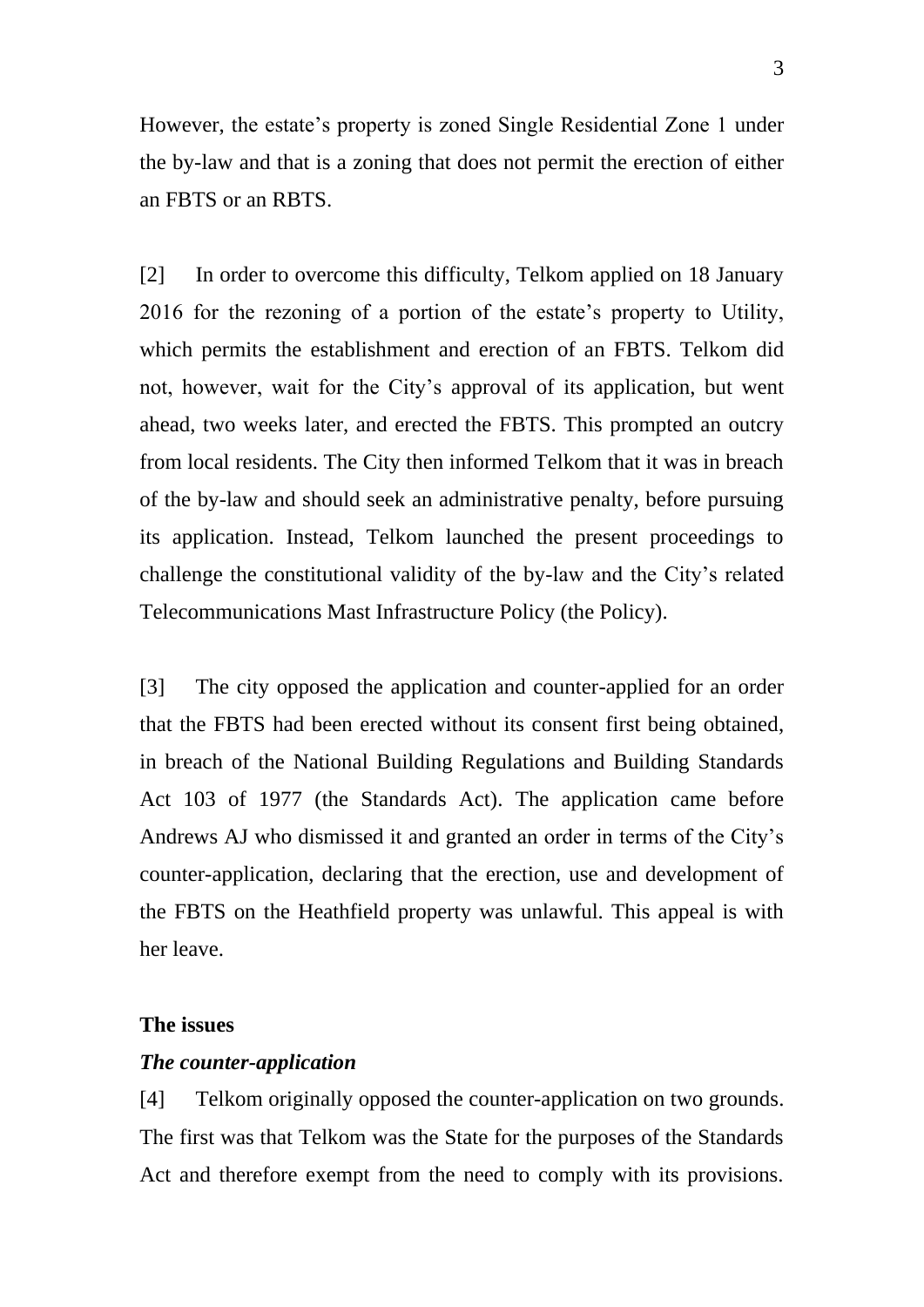However, the estate's property is zoned Single Residential Zone 1 under the by-law and that is a zoning that does not permit the erection of either an FBTS or an RBTS.

[2] In order to overcome this difficulty, Telkom applied on 18 January 2016 for the rezoning of a portion of the estate's property to Utility, which permits the establishment and erection of an FBTS. Telkom did not, however, wait for the City's approval of its application, but went ahead, two weeks later, and erected the FBTS. This prompted an outcry from local residents. The City then informed Telkom that it was in breach of the by-law and should seek an administrative penalty, before pursuing its application. Instead, Telkom launched the present proceedings to challenge the constitutional validity of the by-law and the City's related Telecommunications Mast Infrastructure Policy (the Policy).

[3] The city opposed the application and counter-applied for an order that the FBTS had been erected without its consent first being obtained, in breach of the National Building Regulations and Building Standards Act 103 of 1977 (the Standards Act). The application came before Andrews AJ who dismissed it and granted an order in terms of the City's counter-application, declaring that the erection, use and development of the FBTS on the Heathfield property was unlawful. This appeal is with her leave.

## **The issues**

#### *The counter-application*

[4] Telkom originally opposed the counter-application on two grounds. The first was that Telkom was the State for the purposes of the Standards Act and therefore exempt from the need to comply with its provisions.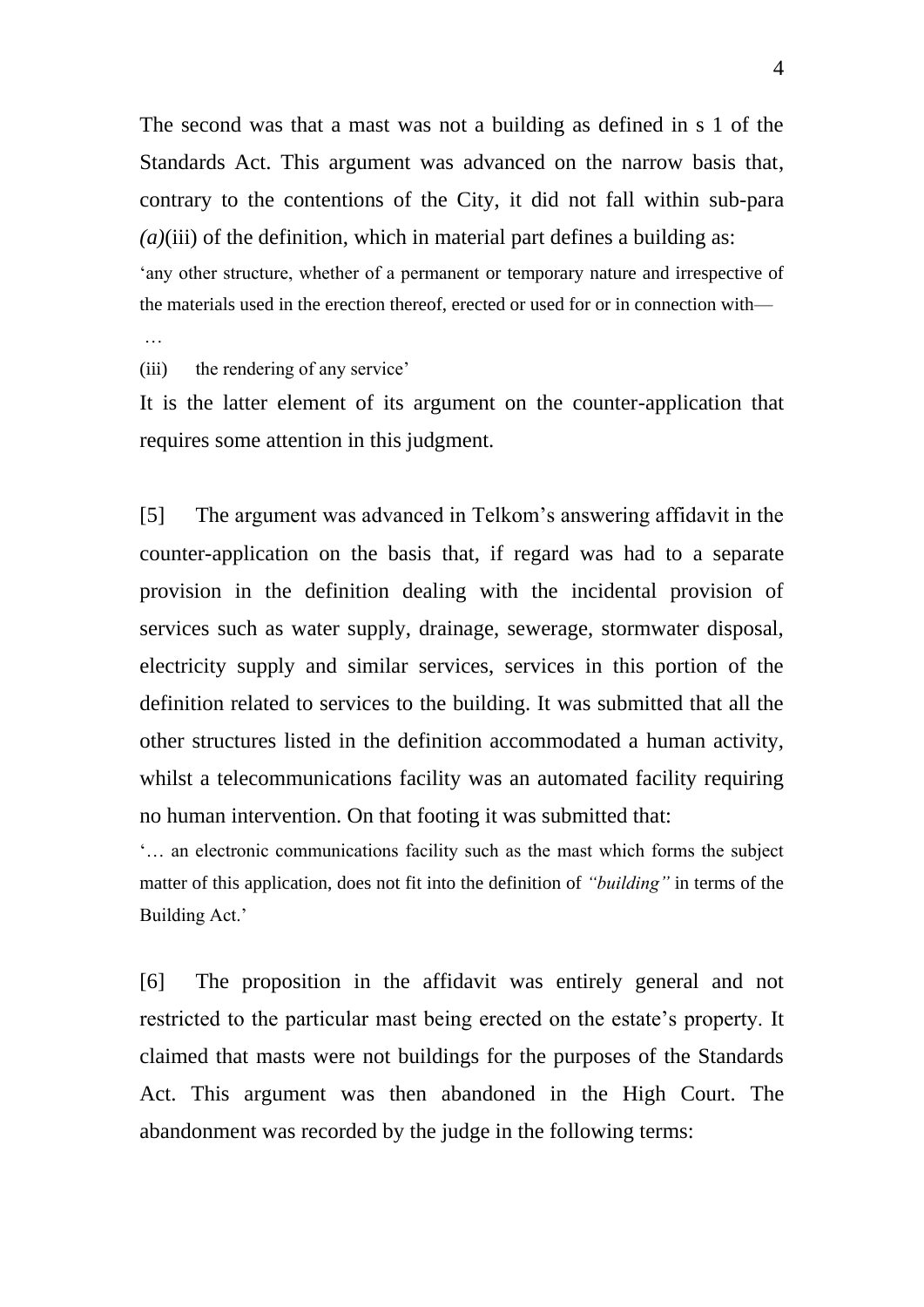The second was that a mast was not a building as defined in s 1 of the Standards Act. This argument was advanced on the narrow basis that, contrary to the contentions of the City, it did not fall within sub-para  $(a)$ (iii) of the definition, which in material part defines a building as: 'any other structure, whether of a permanent or temporary nature and irrespective of the materials used in the erection thereof, erected or used for or in connection with—

…

(iii) the rendering of any service'

It is the latter element of its argument on the counter-application that requires some attention in this judgment.

[5] The argument was advanced in Telkom's answering affidavit in the counter-application on the basis that, if regard was had to a separate provision in the definition dealing with the incidental provision of services such as water supply, drainage, sewerage, stormwater disposal, electricity supply and similar services, services in this portion of the definition related to services to the building. It was submitted that all the other structures listed in the definition accommodated a human activity, whilst a telecommunications facility was an automated facility requiring no human intervention. On that footing it was submitted that:

'… an electronic communications facility such as the mast which forms the subject matter of this application, does not fit into the definition of *"building"* in terms of the Building Act.'

[6] The proposition in the affidavit was entirely general and not restricted to the particular mast being erected on the estate's property. It claimed that masts were not buildings for the purposes of the Standards Act. This argument was then abandoned in the High Court. The abandonment was recorded by the judge in the following terms: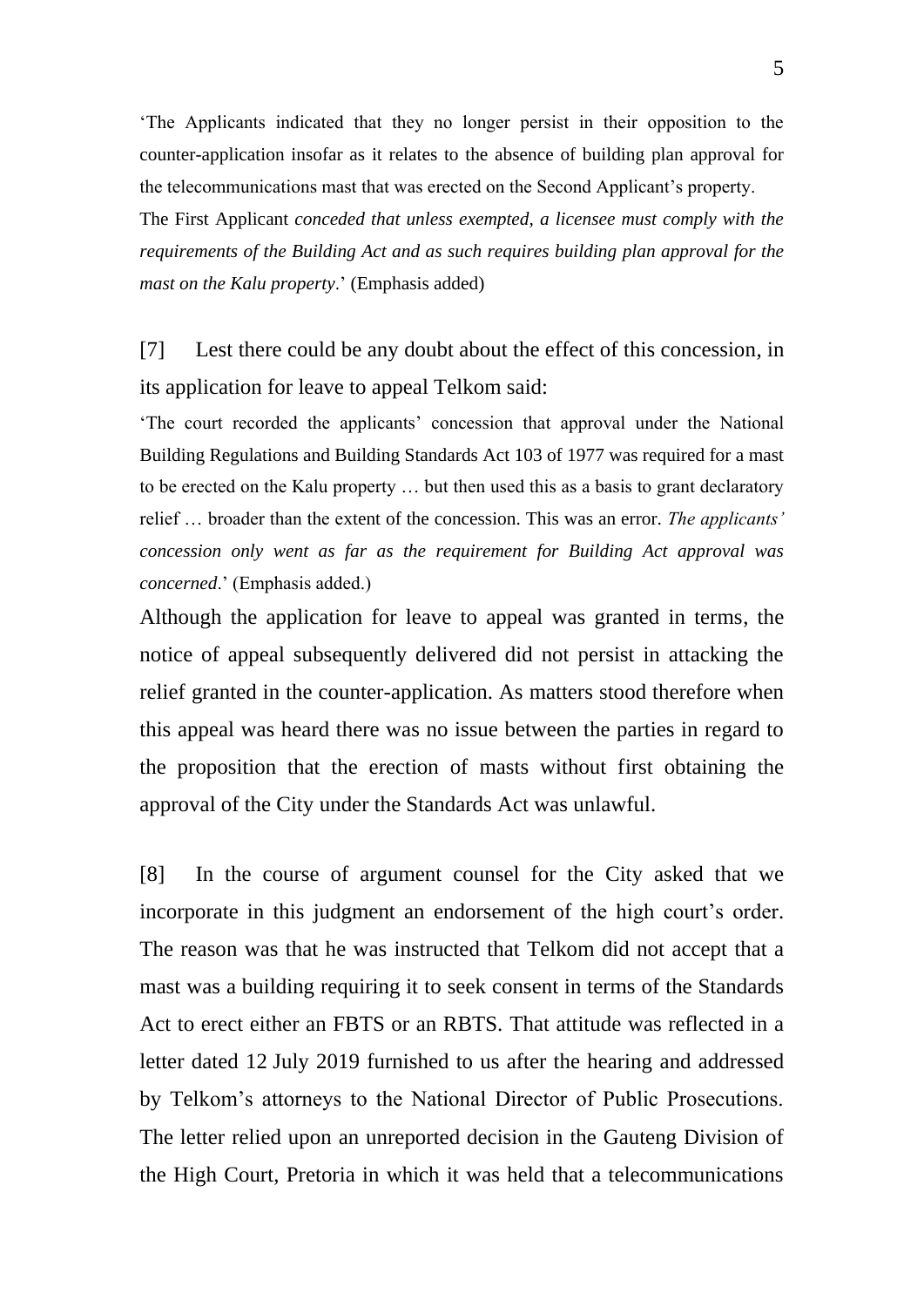'The Applicants indicated that they no longer persist in their opposition to the counter-application insofar as it relates to the absence of building plan approval for the telecommunications mast that was erected on the Second Applicant's property.

The First Applicant *conceded that unless exempted, a licensee must comply with the requirements of the Building Act and as such requires building plan approval for the mast on the Kalu property*.' (Emphasis added)

[7] Lest there could be any doubt about the effect of this concession, in its application for leave to appeal Telkom said:

'The court recorded the applicants' concession that approval under the National Building Regulations and Building Standards Act 103 of 1977 was required for a mast to be erected on the Kalu property … but then used this as a basis to grant declaratory relief … broader than the extent of the concession. This was an error. *The applicants' concession only went as far as the requirement for Building Act approval was concerned*.' (Emphasis added.)

Although the application for leave to appeal was granted in terms, the notice of appeal subsequently delivered did not persist in attacking the relief granted in the counter-application. As matters stood therefore when this appeal was heard there was no issue between the parties in regard to the proposition that the erection of masts without first obtaining the approval of the City under the Standards Act was unlawful.

[8] In the course of argument counsel for the City asked that we incorporate in this judgment an endorsement of the high court's order. The reason was that he was instructed that Telkom did not accept that a mast was a building requiring it to seek consent in terms of the Standards Act to erect either an FBTS or an RBTS. That attitude was reflected in a letter dated 12 July 2019 furnished to us after the hearing and addressed by Telkom's attorneys to the National Director of Public Prosecutions. The letter relied upon an unreported decision in the Gauteng Division of the High Court, Pretoria in which it was held that a telecommunications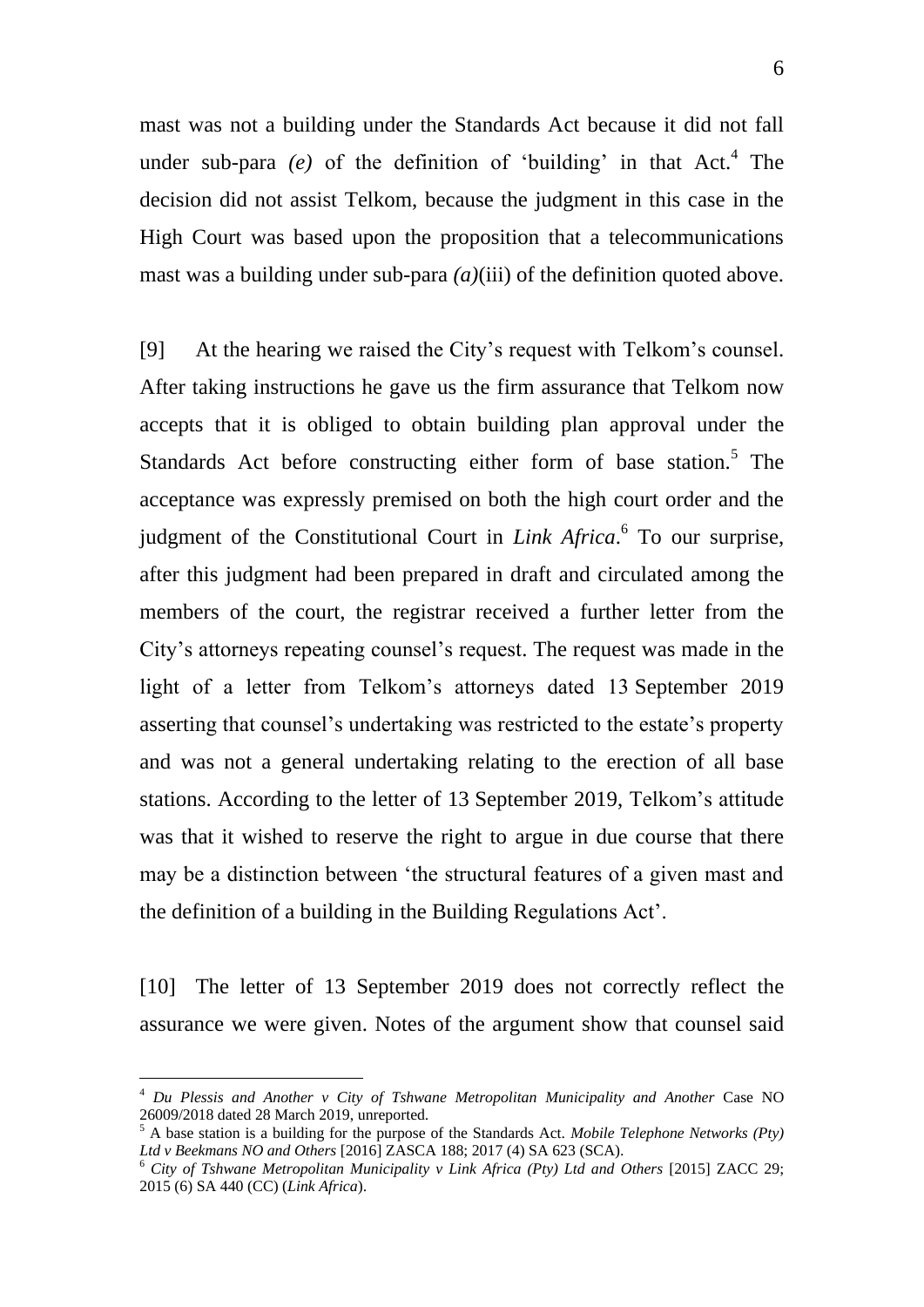mast was not a building under the Standards Act because it did not fall under sub-para  $(e)$  of the definition of 'building' in that Act.<sup>4</sup> The decision did not assist Telkom, because the judgment in this case in the High Court was based upon the proposition that a telecommunications mast was a building under sub-para *(a)*(iii) of the definition quoted above.

[9] At the hearing we raised the City's request with Telkom's counsel. After taking instructions he gave us the firm assurance that Telkom now accepts that it is obliged to obtain building plan approval under the Standards Act before constructing either form of base station.<sup>5</sup> The acceptance was expressly premised on both the high court order and the judgment of the Constitutional Court in *Link Africa*. 6 To our surprise, after this judgment had been prepared in draft and circulated among the members of the court, the registrar received a further letter from the City's attorneys repeating counsel's request. The request was made in the light of a letter from Telkom's attorneys dated 13 September 2019 asserting that counsel's undertaking was restricted to the estate's property and was not a general undertaking relating to the erection of all base stations. According to the letter of 13 September 2019, Telkom's attitude was that it wished to reserve the right to argue in due course that there may be a distinction between 'the structural features of a given mast and the definition of a building in the Building Regulations Act'.

[10] The letter of 13 September 2019 does not correctly reflect the assurance we were given. Notes of the argument show that counsel said

<sup>&</sup>lt;sup>4</sup> Du Plessis and Another v City of Tshwane Metropolitan Municipality and Another Case NO 26009/2018 dated 28 March 2019, unreported.

<sup>5</sup> A base station is a building for the purpose of the Standards Act. *Mobile Telephone Networks (Pty) Ltd v Beekmans NO and Others* [2016] ZASCA 188; 2017 (4) SA 623 (SCA).

<sup>6</sup> *City of Tshwane Metropolitan Municipality v Link Africa (Pty) Ltd and Others* [2015] ZACC 29; 2015 (6) SA 440 (CC) (*Link Africa*).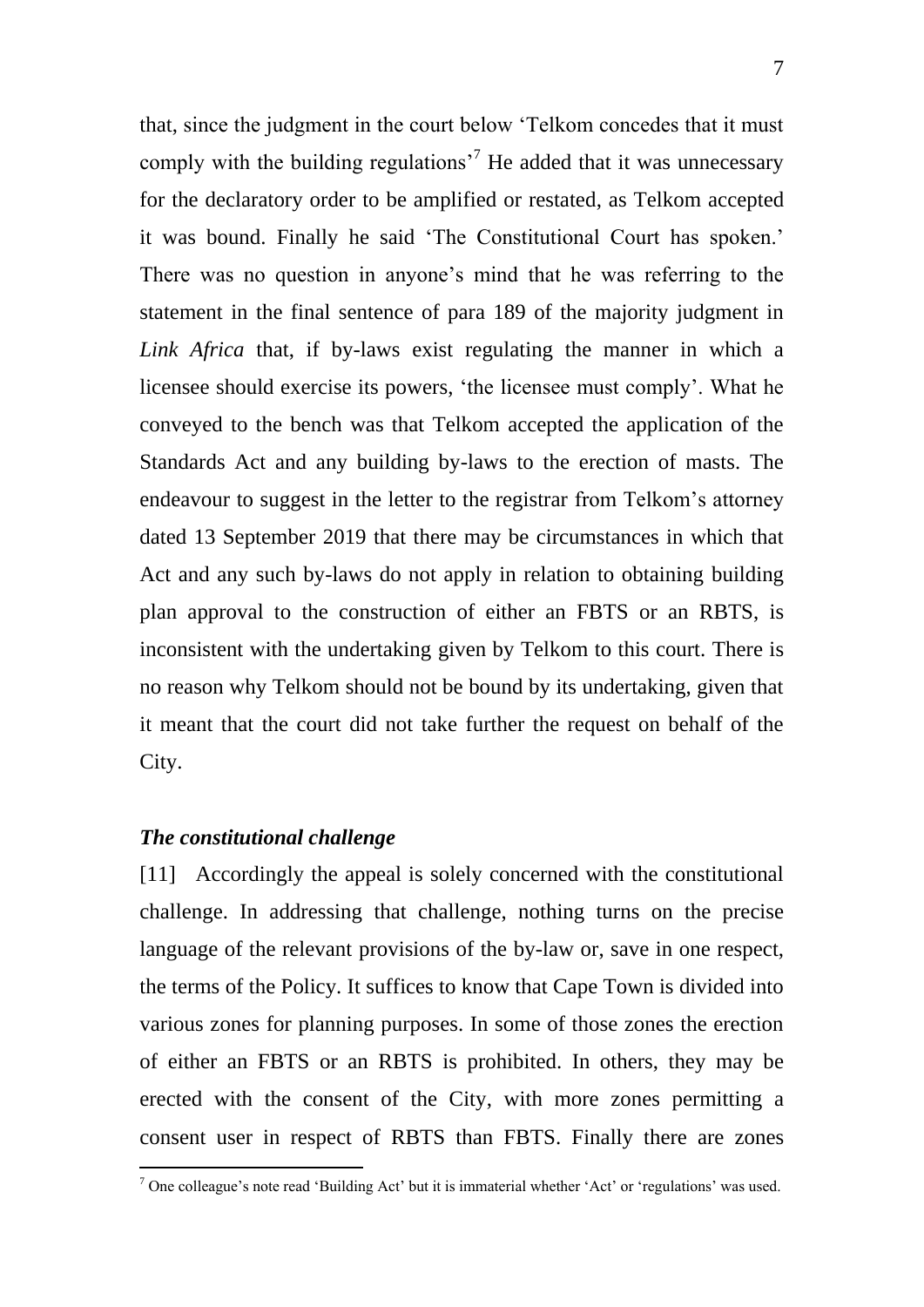that, since the judgment in the court below 'Telkom concedes that it must comply with the building regulations<sup> $\frac{7}{7}$ </sup> He added that it was unnecessary for the declaratory order to be amplified or restated, as Telkom accepted it was bound. Finally he said 'The Constitutional Court has spoken.' There was no question in anyone's mind that he was referring to the statement in the final sentence of para 189 of the majority judgment in *Link Africa* that, if by-laws exist regulating the manner in which a licensee should exercise its powers, 'the licensee must comply'. What he conveyed to the bench was that Telkom accepted the application of the Standards Act and any building by-laws to the erection of masts. The endeavour to suggest in the letter to the registrar from Telkom's attorney dated 13 September 2019 that there may be circumstances in which that Act and any such by-laws do not apply in relation to obtaining building plan approval to the construction of either an FBTS or an RBTS, is inconsistent with the undertaking given by Telkom to this court. There is no reason why Telkom should not be bound by its undertaking, given that it meant that the court did not take further the request on behalf of the City.

### *The constitutional challenge*

 $\overline{a}$ 

[11] Accordingly the appeal is solely concerned with the constitutional challenge. In addressing that challenge, nothing turns on the precise language of the relevant provisions of the by-law or, save in one respect, the terms of the Policy. It suffices to know that Cape Town is divided into various zones for planning purposes. In some of those zones the erection of either an FBTS or an RBTS is prohibited. In others, they may be erected with the consent of the City, with more zones permitting a consent user in respect of RBTS than FBTS. Finally there are zones

 $<sup>7</sup>$  One colleague's note read 'Building Act' but it is immaterial whether 'Act' or 'regulations' was used.</sup>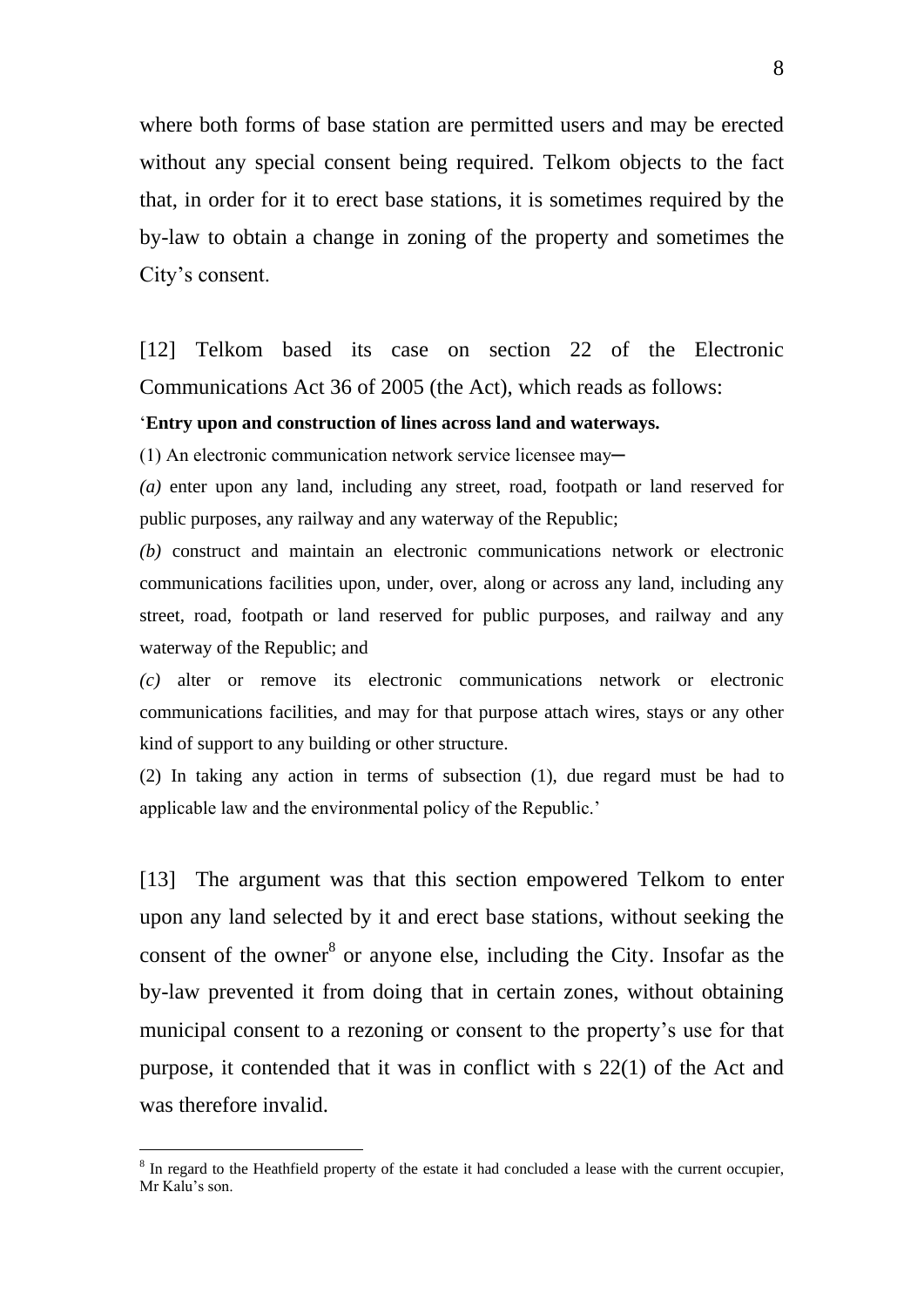where both forms of base station are permitted users and may be erected without any special consent being required. Telkom objects to the fact that, in order for it to erect base stations, it is sometimes required by the by-law to obtain a change in zoning of the property and sometimes the City's consent.

[12] Telkom based its case on section 22 of the Electronic Communications Act 36 of 2005 (the Act), which reads as follows:

#### '**Entry upon and construction of lines across land and waterways.**

 $(1)$  An electronic communication network service licensee may—

*(a)* enter upon any land, including any street, road, footpath or land reserved for public purposes, any railway and any waterway of the Republic;

*(b)* construct and maintain an electronic communications network or electronic communications facilities upon, under, over, along or across any land, including any street, road, footpath or land reserved for public purposes, and railway and any waterway of the Republic; and

*(c)* alter or remove its electronic communications network or electronic communications facilities, and may for that purpose attach wires, stays or any other kind of support to any building or other structure.

(2) In taking any action in terms of subsection (1), due regard must be had to applicable law and the environmental policy of the Republic.'

[13] The argument was that this section empowered Telkom to enter upon any land selected by it and erect base stations, without seeking the consent of the owner $^{8}$  or anyone else, including the City. Insofar as the by-law prevented it from doing that in certain zones, without obtaining municipal consent to a rezoning or consent to the property's use for that purpose, it contended that it was in conflict with s 22(1) of the Act and was therefore invalid.

<sup>&</sup>lt;sup>8</sup> In regard to the Heathfield property of the estate it had concluded a lease with the current occupier, Mr Kalu's son.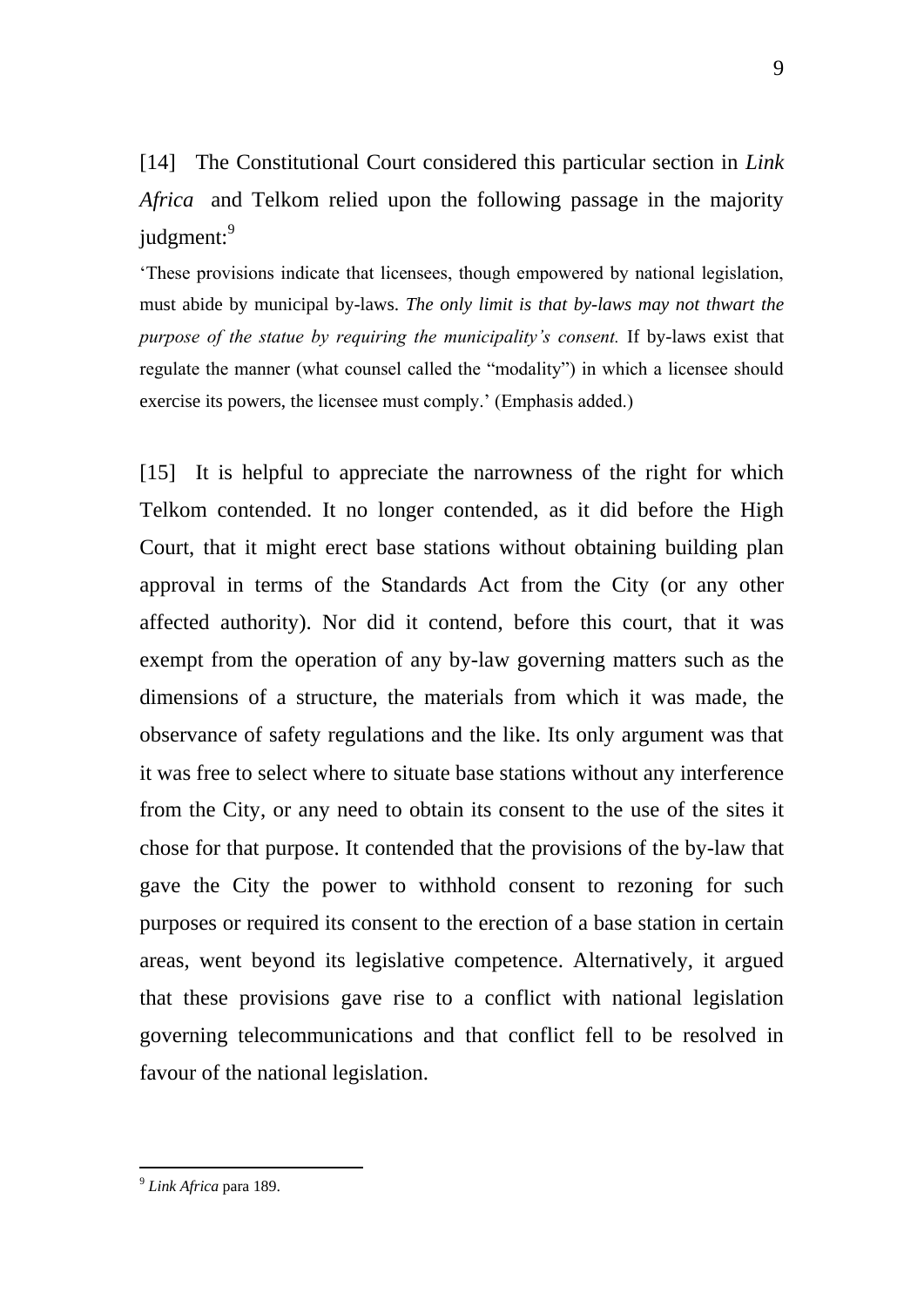[14] The Constitutional Court considered this particular section in *Link Africa* and Telkom relied upon the following passage in the majority judgment:<sup>9</sup>

'These provisions indicate that licensees, though empowered by national legislation, must abide by municipal by-laws. *The only limit is that by-laws may not thwart the purpose of the statue by requiring the municipality's consent.* If by-laws exist that regulate the manner (what counsel called the "modality") in which a licensee should exercise its powers, the licensee must comply.' (Emphasis added.)

[15] It is helpful to appreciate the narrowness of the right for which Telkom contended. It no longer contended, as it did before the High Court, that it might erect base stations without obtaining building plan approval in terms of the Standards Act from the City (or any other affected authority). Nor did it contend, before this court, that it was exempt from the operation of any by-law governing matters such as the dimensions of a structure, the materials from which it was made, the observance of safety regulations and the like. Its only argument was that it was free to select where to situate base stations without any interference from the City, or any need to obtain its consent to the use of the sites it chose for that purpose. It contended that the provisions of the by-law that gave the City the power to withhold consent to rezoning for such purposes or required its consent to the erection of a base station in certain areas, went beyond its legislative competence. Alternatively, it argued that these provisions gave rise to a conflict with national legislation governing telecommunications and that conflict fell to be resolved in favour of the national legislation.

<sup>9</sup> *Link Africa* para 189.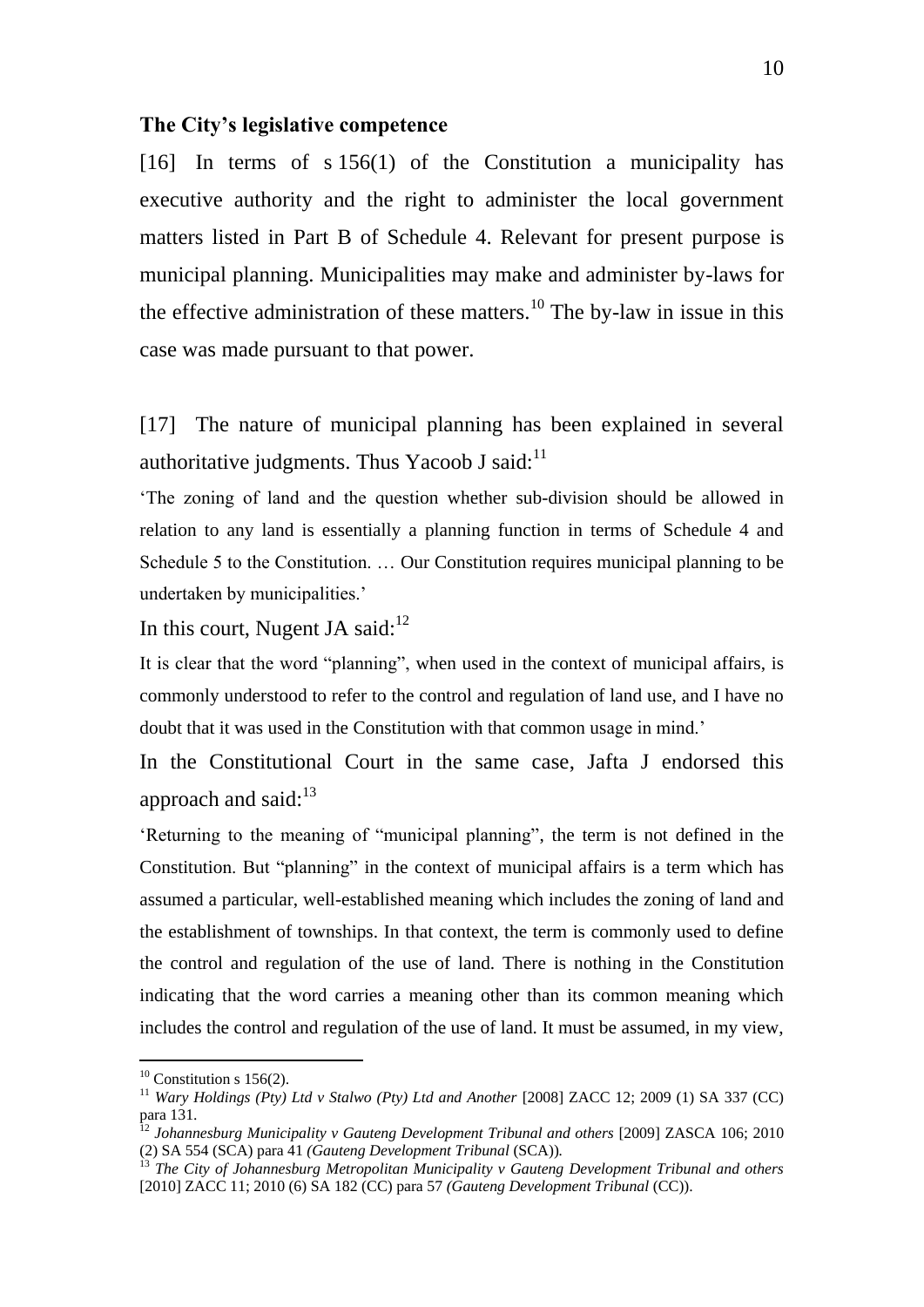#### **The City's legislative competence**

[16] In terms of s 156(1) of the Constitution a municipality has executive authority and the right to administer the local government matters listed in Part B of Schedule 4. Relevant for present purpose is municipal planning. Municipalities may make and administer by-laws for the effective administration of these matters.<sup>10</sup> The by-law in issue in this case was made pursuant to that power.

[17] The nature of municipal planning has been explained in several authoritative judgments. Thus Yacoob J said: $11$ 

'The zoning of land and the question whether sub-division should be allowed in relation to any land is essentially a planning function in terms of Schedule 4 and Schedule 5 to the Constitution. … Our Constitution requires municipal planning to be undertaken by municipalities.'

In this court, Nugent JA said: $^{12}$ 

It is clear that the word "planning", when used in the context of municipal affairs, is commonly understood to refer to the control and regulation of land use, and I have no doubt that it was used in the Constitution with that common usage in mind.'

In the Constitutional Court in the same case, Jafta J endorsed this approach and said: $13$ 

'Returning to the meaning of "municipal planning", the term is not defined in the Constitution. But "planning" in the context of municipal affairs is a term which has assumed a particular, well-established meaning which includes the zoning of land and the establishment of townships. In that context, the term is commonly used to define the control and regulation of the use of land. There is nothing in the Constitution indicating that the word carries a meaning other than its common meaning which includes the control and regulation of the use of land. It must be assumed, in my view,

 $10$  Constitution s 156(2).

<sup>&</sup>lt;sup>11</sup> *Wary Holdings (Pty) Ltd v Stalwo (Pty) Ltd and Another* [2008] ZACC 12; 2009 (1) SA 337 (CC) para 131.

<sup>&</sup>lt;sup>12</sup> Johannesburg Municipality v Gauteng Development Tribunal and others [2009] ZASCA 106; 2010 (2) SA 554 (SCA) para 41 *(Gauteng Development Tribunal* (SCA))*.*

<sup>13</sup> *The City of Johannesburg Metropolitan Municipality v Gauteng Development Tribunal and others* [2010] ZACC 11; 2010 (6) SA 182 (CC) para 57 *(Gauteng Development Tribunal* (CC)).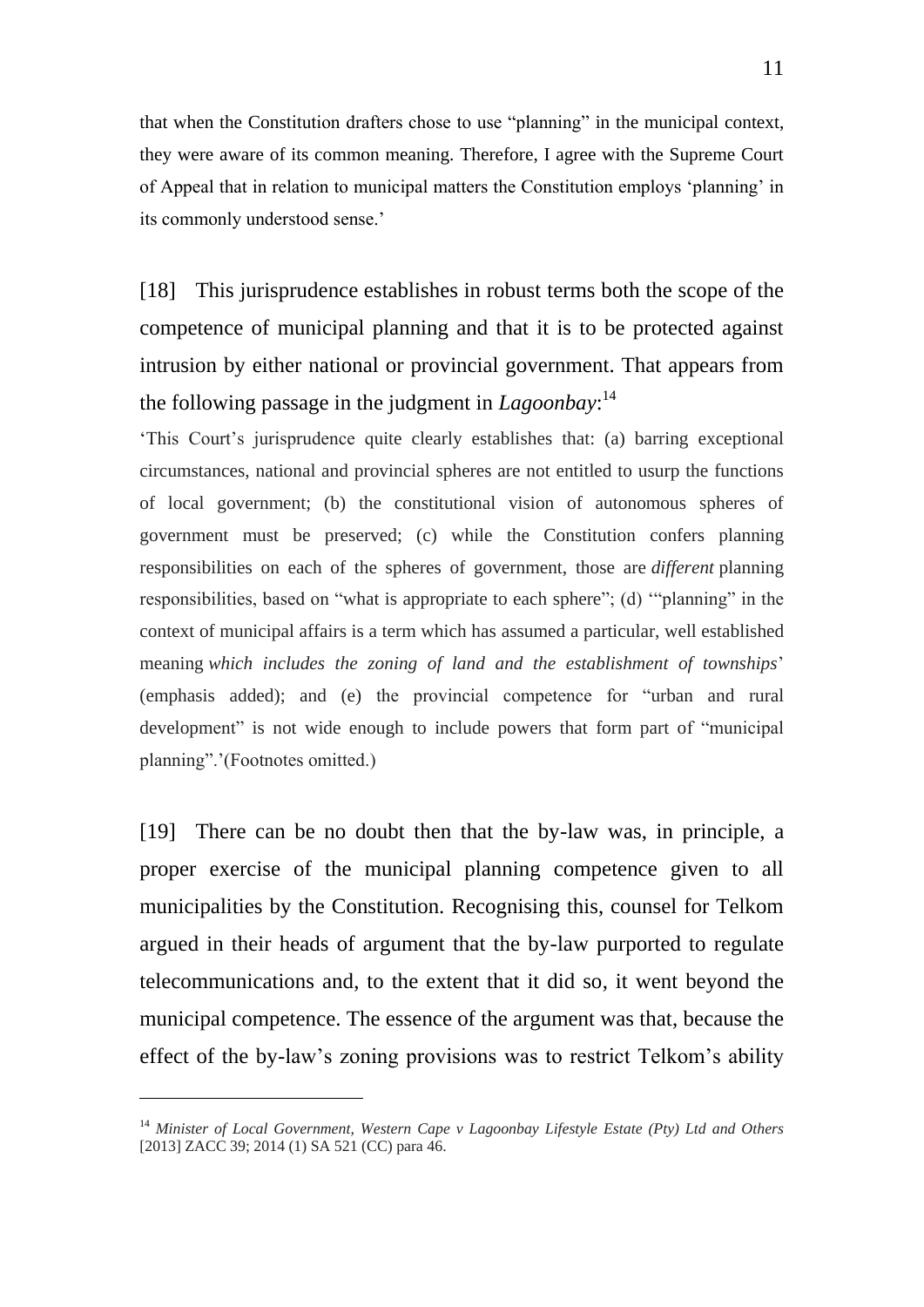that when the Constitution drafters chose to use "planning" in the municipal context, they were aware of its common meaning. Therefore, I agree with the Supreme Court of Appeal that in relation to municipal matters the Constitution employs 'planning' in its commonly understood sense.'

[18] This jurisprudence establishes in robust terms both the scope of the competence of municipal planning and that it is to be protected against intrusion by either national or provincial government. That appears from the following passage in the judgment in *Lagoonbay*: 14

'This Court's jurisprudence quite clearly establishes that: (a) barring exceptional circumstances, national and provincial spheres are not entitled to usurp the functions of local government; (b) the constitutional vision of autonomous spheres of government must be preserved; (c) while the Constitution confers planning responsibilities on each of the spheres of government, those are *different* planning responsibilities, based on "what is appropriate to each sphere"; (d) '"planning" in the context of municipal affairs is a term which has assumed a particular, well established meaning *which includes the zoning of land and the establishment of townships*' (emphasis added); and (e) the provincial competence for "urban and rural development" is not wide enough to include powers that form part of "municipal planning".'(Footnotes omitted.)

[19] There can be no doubt then that the by-law was, in principle, a proper exercise of the municipal planning competence given to all municipalities by the Constitution. Recognising this, counsel for Telkom argued in their heads of argument that the by-law purported to regulate telecommunications and, to the extent that it did so, it went beyond the municipal competence. The essence of the argument was that, because the effect of the by-law's zoning provisions was to restrict Telkom's ability

<sup>14</sup> *Minister of Local Government, Western Cape v Lagoonbay Lifestyle Estate (Pty) Ltd and Others* [2013] ZACC 39; 2014 (1) SA 521 (CC) para 46.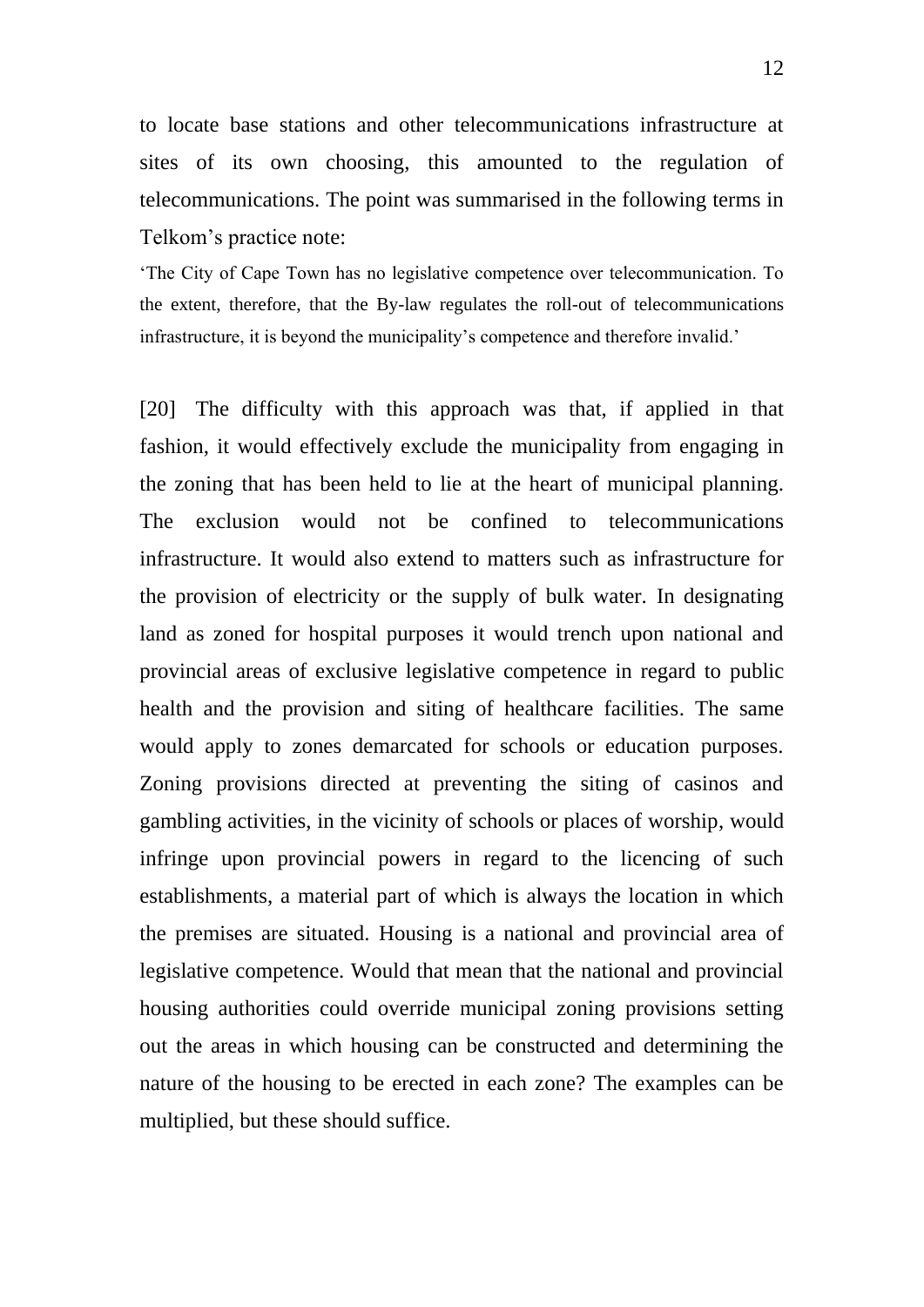to locate base stations and other telecommunications infrastructure at sites of its own choosing, this amounted to the regulation of telecommunications. The point was summarised in the following terms in Telkom's practice note:

'The City of Cape Town has no legislative competence over telecommunication. To the extent, therefore, that the By-law regulates the roll-out of telecommunications infrastructure, it is beyond the municipality's competence and therefore invalid.'

[20] The difficulty with this approach was that, if applied in that fashion, it would effectively exclude the municipality from engaging in the zoning that has been held to lie at the heart of municipal planning. The exclusion would not be confined to telecommunications infrastructure. It would also extend to matters such as infrastructure for the provision of electricity or the supply of bulk water. In designating land as zoned for hospital purposes it would trench upon national and provincial areas of exclusive legislative competence in regard to public health and the provision and siting of healthcare facilities. The same would apply to zones demarcated for schools or education purposes. Zoning provisions directed at preventing the siting of casinos and gambling activities, in the vicinity of schools or places of worship, would infringe upon provincial powers in regard to the licencing of such establishments, a material part of which is always the location in which the premises are situated. Housing is a national and provincial area of legislative competence. Would that mean that the national and provincial housing authorities could override municipal zoning provisions setting out the areas in which housing can be constructed and determining the nature of the housing to be erected in each zone? The examples can be multiplied, but these should suffice.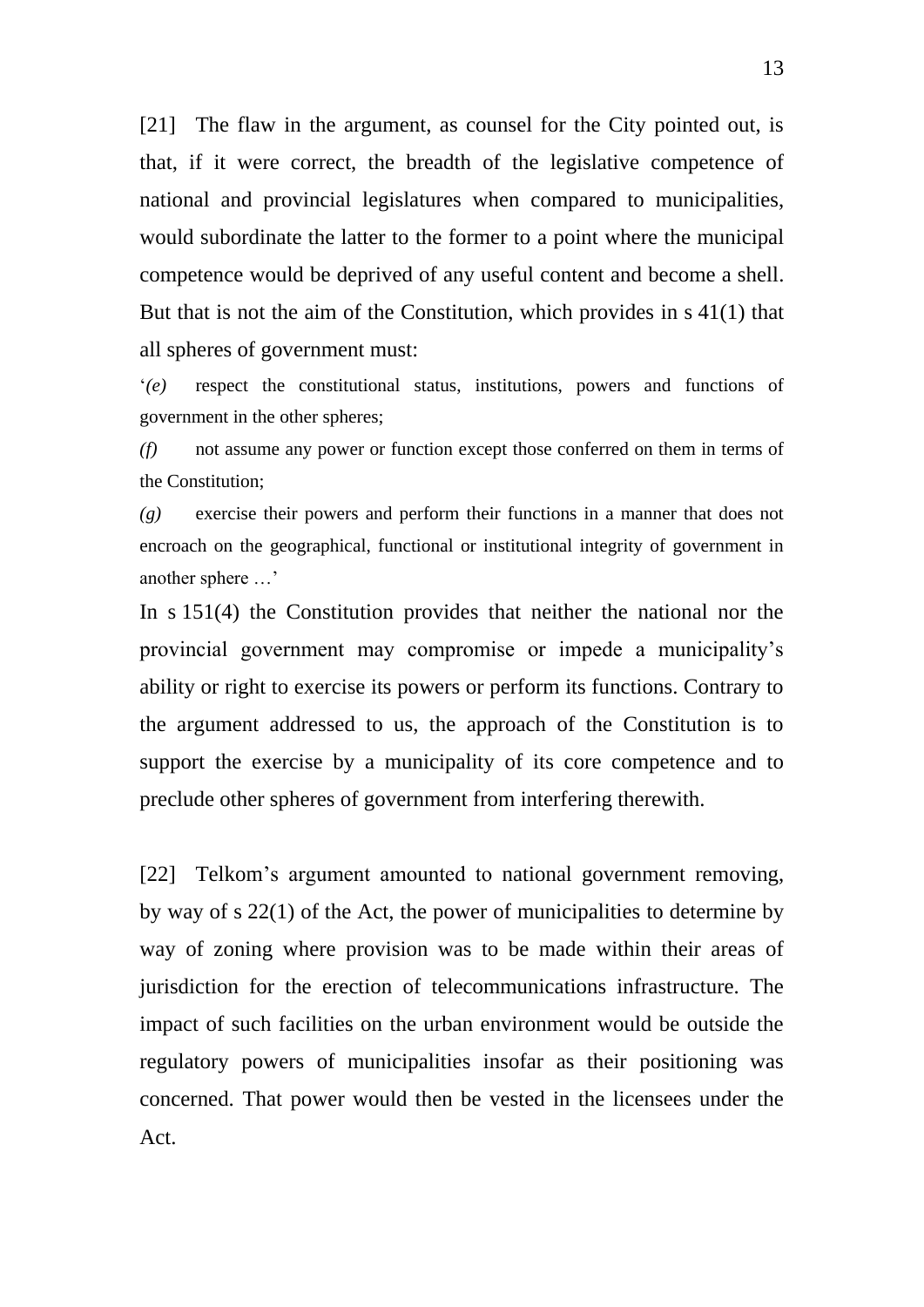[21] The flaw in the argument, as counsel for the City pointed out, is that, if it were correct, the breadth of the legislative competence of national and provincial legislatures when compared to municipalities, would subordinate the latter to the former to a point where the municipal competence would be deprived of any useful content and become a shell. But that is not the aim of the Constitution, which provides in s 41(1) that all spheres of government must:

'*(e)* respect the constitutional status, institutions, powers and functions of government in the other spheres;

*(f)* not assume any power or function except those conferred on them in terms of the Constitution;

*(g)* exercise their powers and perform their functions in a manner that does not encroach on the geographical, functional or institutional integrity of government in another sphere …'

In s 151(4) the Constitution provides that neither the national nor the provincial government may compromise or impede a municipality's ability or right to exercise its powers or perform its functions. Contrary to the argument addressed to us, the approach of the Constitution is to support the exercise by a municipality of its core competence and to preclude other spheres of government from interfering therewith.

[22] Telkom's argument amounted to national government removing, by way of s 22(1) of the Act, the power of municipalities to determine by way of zoning where provision was to be made within their areas of jurisdiction for the erection of telecommunications infrastructure. The impact of such facilities on the urban environment would be outside the regulatory powers of municipalities insofar as their positioning was concerned. That power would then be vested in the licensees under the Act.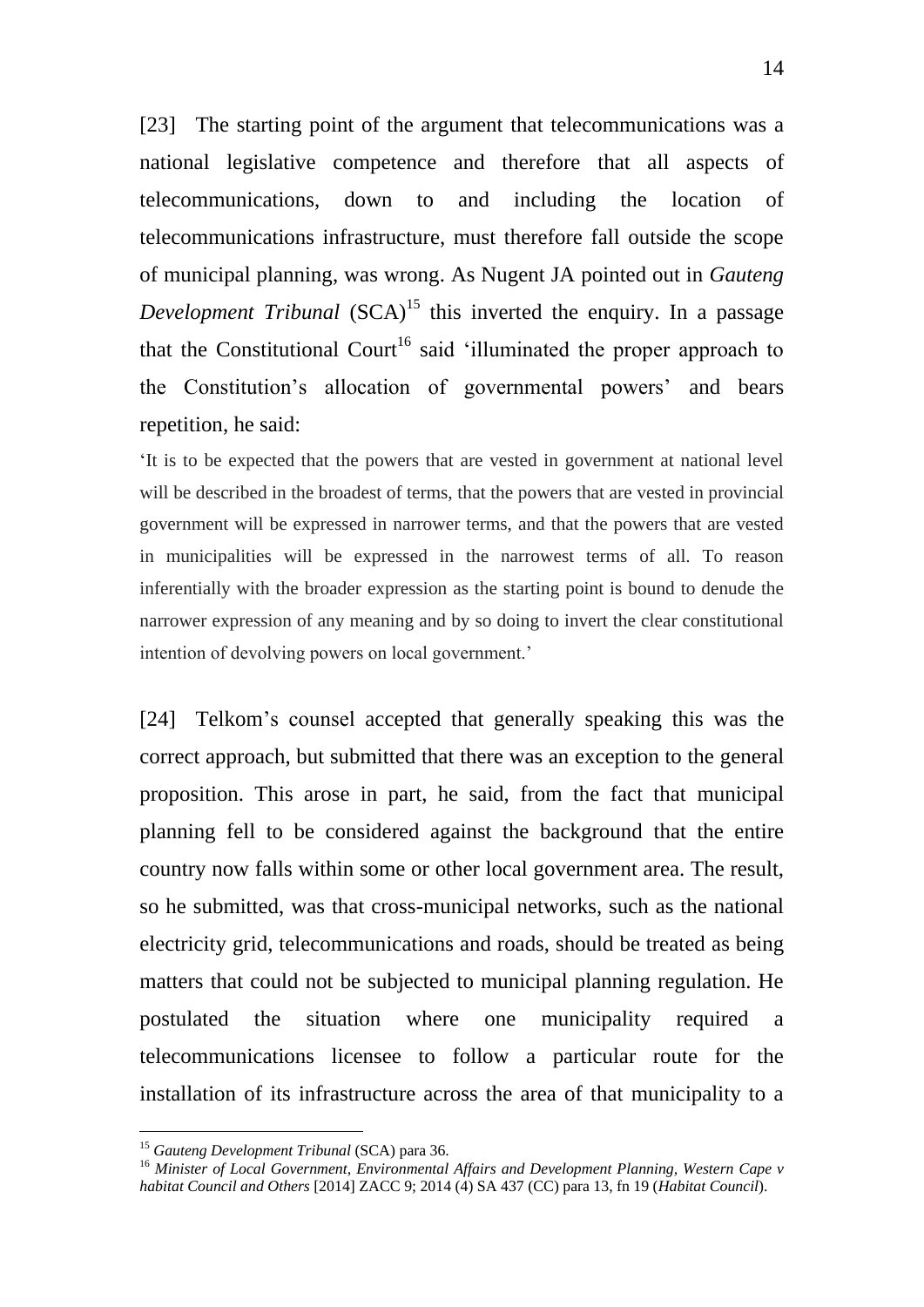[23] The starting point of the argument that telecommunications was a national legislative competence and therefore that all aspects of telecommunications, down to and including the location of telecommunications infrastructure, must therefore fall outside the scope of municipal planning, was wrong. As Nugent JA pointed out in *Gauteng Development Tribunal* (SCA)<sup>15</sup> this inverted the enquiry. In a passage that the Constitutional Court<sup>16</sup> said 'illuminated the proper approach to the Constitution's allocation of governmental powers' and bears repetition, he said:

'It is to be expected that the powers that are vested in government at national level will be described in the broadest of terms, that the powers that are vested in provincial government will be expressed in narrower terms, and that the powers that are vested in municipalities will be expressed in the narrowest terms of all. To reason inferentially with the broader expression as the starting point is bound to denude the narrower expression of any meaning and by so doing to invert the clear constitutional intention of devolving powers on local government.'

[24] Telkom's counsel accepted that generally speaking this was the correct approach, but submitted that there was an exception to the general proposition. This arose in part, he said, from the fact that municipal planning fell to be considered against the background that the entire country now falls within some or other local government area. The result, so he submitted, was that cross-municipal networks, such as the national electricity grid, telecommunications and roads, should be treated as being matters that could not be subjected to municipal planning regulation. He postulated the situation where one municipality required a telecommunications licensee to follow a particular route for the installation of its infrastructure across the area of that municipality to a

<sup>&</sup>lt;sup>15</sup> Gauteng Development Tribunal (SCA) para 36.

<sup>16</sup> *Minister of Local Government, Environmental Affairs and Development Planning, Western Cape v habitat Council and Others* [2014] ZACC 9; 2014 (4) SA 437 (CC) para 13, fn 19 (*Habitat Council*).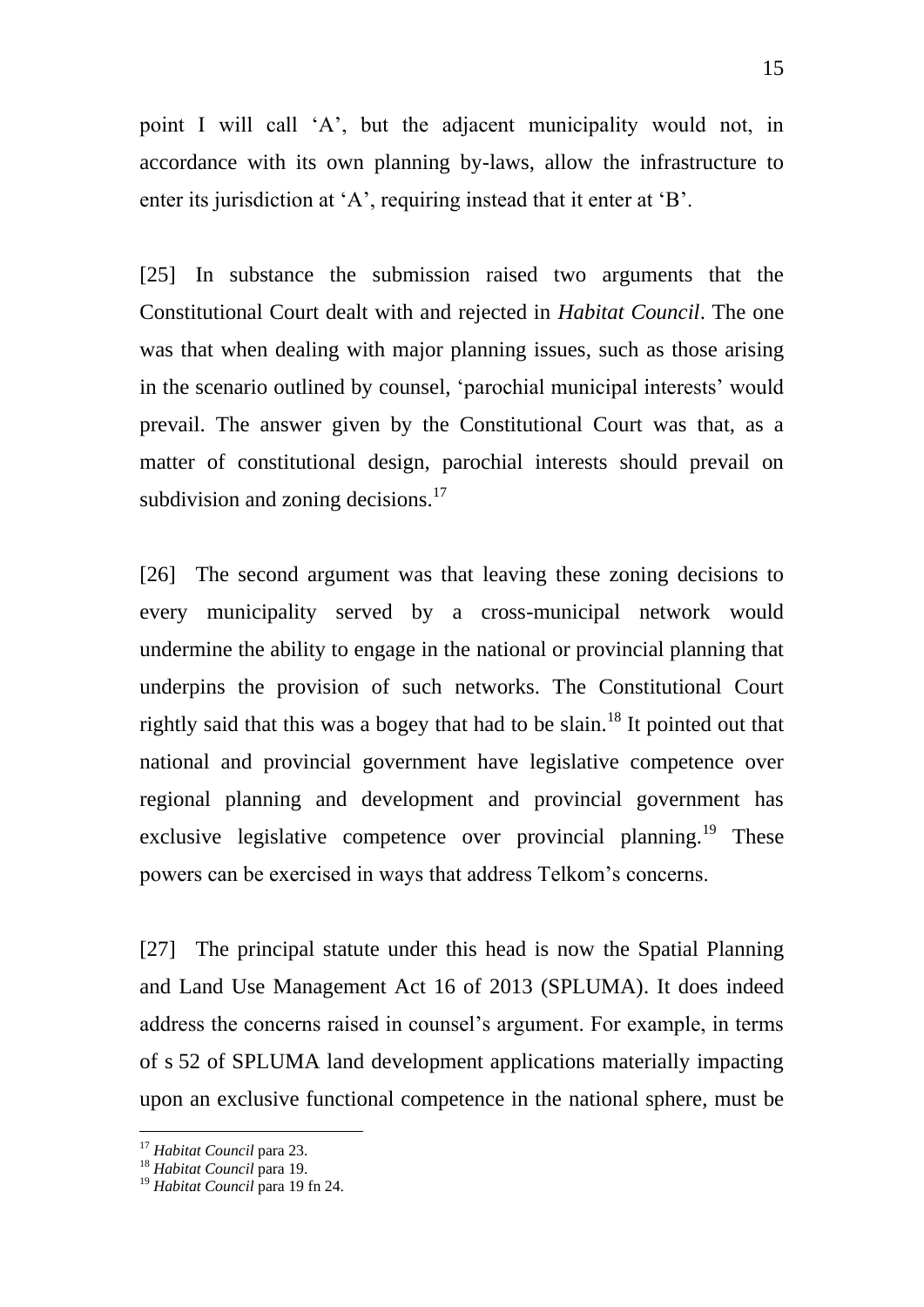point I will call 'A', but the adjacent municipality would not, in accordance with its own planning by-laws, allow the infrastructure to enter its jurisdiction at 'A', requiring instead that it enter at 'B'.

[25] In substance the submission raised two arguments that the Constitutional Court dealt with and rejected in *Habitat Council*. The one was that when dealing with major planning issues, such as those arising in the scenario outlined by counsel, 'parochial municipal interests' would prevail. The answer given by the Constitutional Court was that, as a matter of constitutional design, parochial interests should prevail on subdivision and zoning decisions. $17$ 

[26] The second argument was that leaving these zoning decisions to every municipality served by a cross-municipal network would undermine the ability to engage in the national or provincial planning that underpins the provision of such networks. The Constitutional Court rightly said that this was a bogey that had to be slain.<sup>18</sup> It pointed out that national and provincial government have legislative competence over regional planning and development and provincial government has exclusive legislative competence over provincial planning.<sup>19</sup> These powers can be exercised in ways that address Telkom's concerns.

[27] The principal statute under this head is now the Spatial Planning and Land Use Management Act 16 of 2013 (SPLUMA). It does indeed address the concerns raised in counsel's argument. For example, in terms of s 52 of SPLUMA land development applications materially impacting upon an exclusive functional competence in the national sphere, must be

<sup>17</sup> *Habitat Council* para 23.

<sup>18</sup> *Habitat Council* para 19.

<sup>19</sup> *Habitat Council* para 19 fn 24.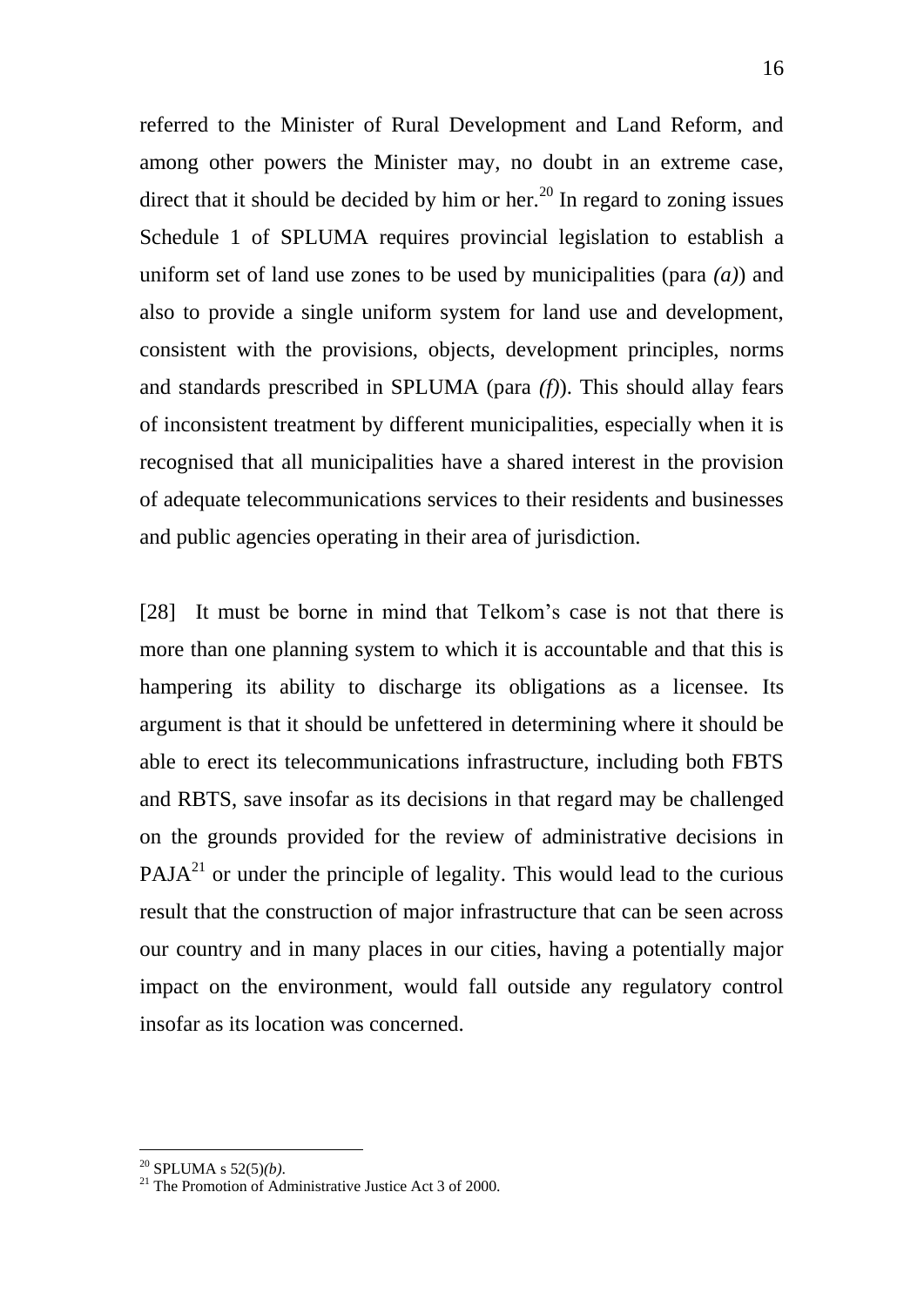referred to the Minister of Rural Development and Land Reform, and among other powers the Minister may, no doubt in an extreme case, direct that it should be decided by him or her.<sup>20</sup> In regard to zoning issues Schedule 1 of SPLUMA requires provincial legislation to establish a uniform set of land use zones to be used by municipalities (para *(a)*) and also to provide a single uniform system for land use and development, consistent with the provisions, objects, development principles, norms and standards prescribed in SPLUMA (para *(f)*). This should allay fears of inconsistent treatment by different municipalities, especially when it is recognised that all municipalities have a shared interest in the provision of adequate telecommunications services to their residents and businesses and public agencies operating in their area of jurisdiction.

[28] It must be borne in mind that Telkom's case is not that there is more than one planning system to which it is accountable and that this is hampering its ability to discharge its obligations as a licensee. Its argument is that it should be unfettered in determining where it should be able to erect its telecommunications infrastructure, including both FBTS and RBTS, save insofar as its decisions in that regard may be challenged on the grounds provided for the review of administrative decisions in  $PAJA<sup>21</sup>$  or under the principle of legality. This would lead to the curious result that the construction of major infrastructure that can be seen across our country and in many places in our cities, having a potentially major impact on the environment, would fall outside any regulatory control insofar as its location was concerned.

<sup>20</sup> SPLUMA s 52(5)*(b)*.

 $21$  The Promotion of Administrative Justice Act 3 of 2000.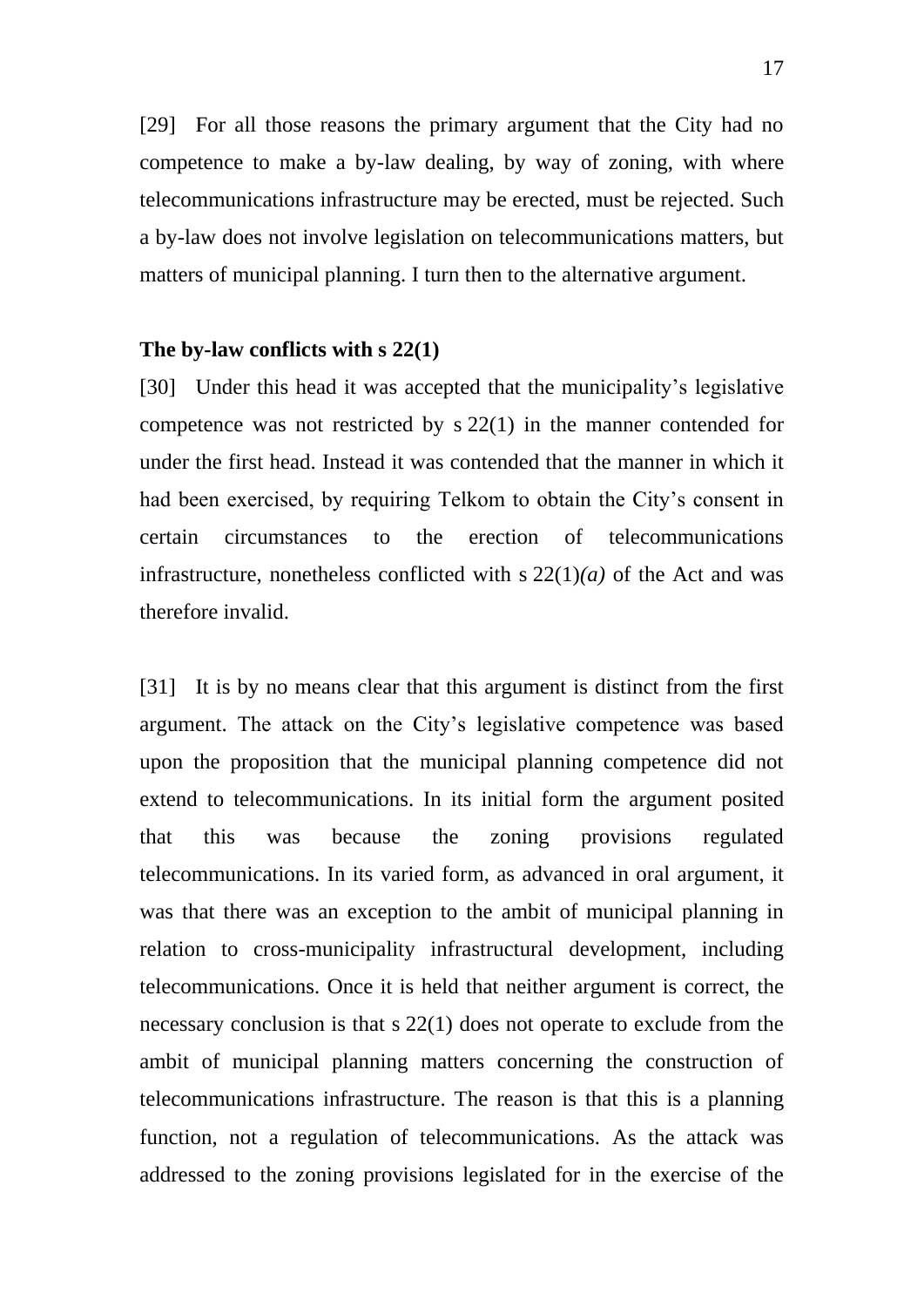[29] For all those reasons the primary argument that the City had no competence to make a by-law dealing, by way of zoning, with where telecommunications infrastructure may be erected, must be rejected. Such a by-law does not involve legislation on telecommunications matters, but matters of municipal planning. I turn then to the alternative argument.

# **The by-law conflicts with s 22(1)**

[30] Under this head it was accepted that the municipality's legislative competence was not restricted by s 22(1) in the manner contended for under the first head. Instead it was contended that the manner in which it had been exercised, by requiring Telkom to obtain the City's consent in certain circumstances to the erection of telecommunications infrastructure, nonetheless conflicted with  $s 22(1)(a)$  of the Act and was therefore invalid.

[31] It is by no means clear that this argument is distinct from the first argument. The attack on the City's legislative competence was based upon the proposition that the municipal planning competence did not extend to telecommunications. In its initial form the argument posited that this was because the zoning provisions regulated telecommunications. In its varied form, as advanced in oral argument, it was that there was an exception to the ambit of municipal planning in relation to cross-municipality infrastructural development, including telecommunications. Once it is held that neither argument is correct, the necessary conclusion is that s 22(1) does not operate to exclude from the ambit of municipal planning matters concerning the construction of telecommunications infrastructure. The reason is that this is a planning function, not a regulation of telecommunications. As the attack was addressed to the zoning provisions legislated for in the exercise of the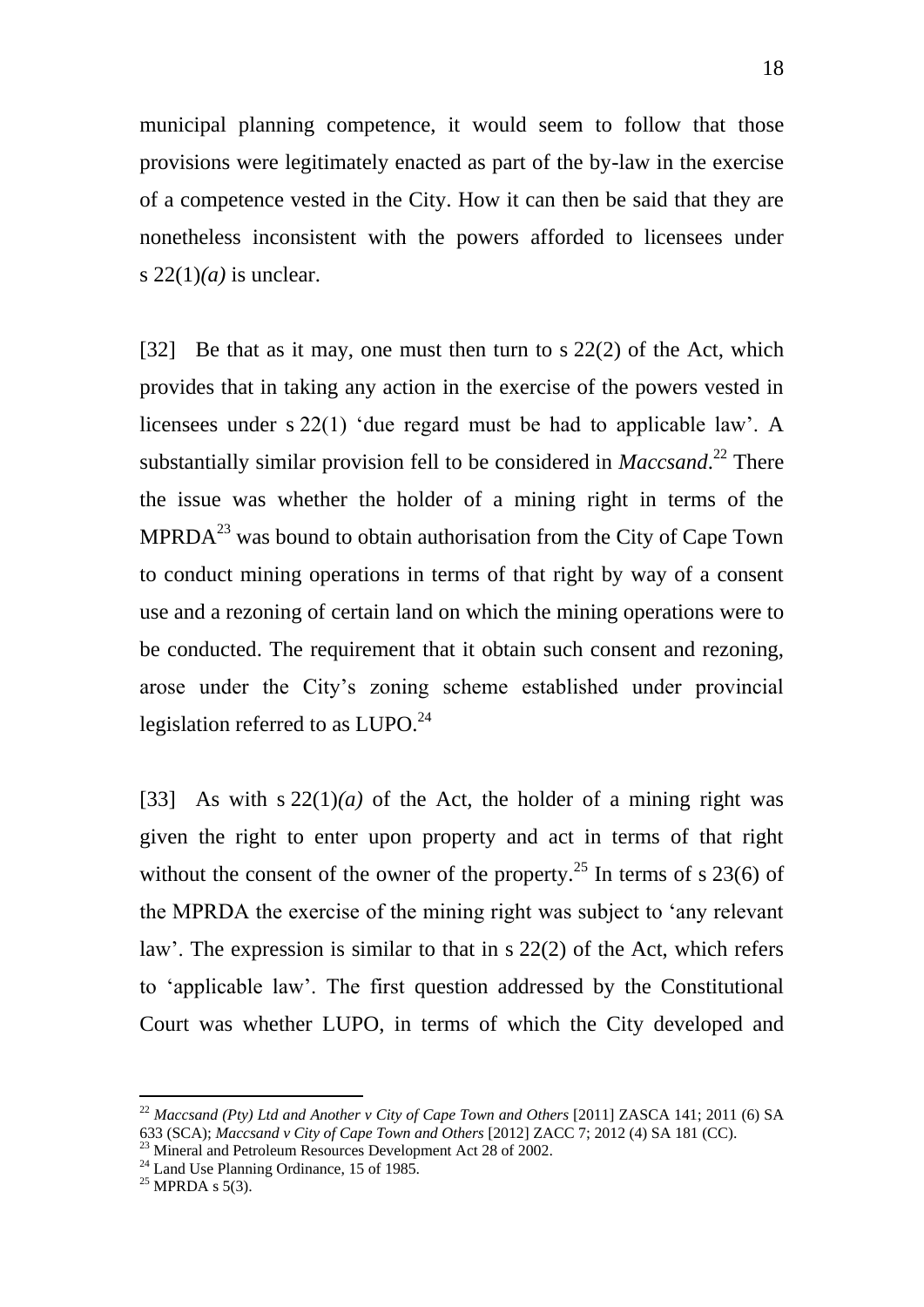municipal planning competence, it would seem to follow that those provisions were legitimately enacted as part of the by-law in the exercise of a competence vested in the City. How it can then be said that they are nonetheless inconsistent with the powers afforded to licensees under s  $22(1)(a)$  is unclear.

[32] Be that as it may, one must then turn to s 22(2) of the Act, which provides that in taking any action in the exercise of the powers vested in licensees under s 22(1) 'due regard must be had to applicable law'. A substantially similar provision fell to be considered in *Maccsand*. <sup>22</sup> There the issue was whether the holder of a mining right in terms of the  $MPRDA<sup>23</sup>$  was bound to obtain authorisation from the City of Cape Town to conduct mining operations in terms of that right by way of a consent use and a rezoning of certain land on which the mining operations were to be conducted. The requirement that it obtain such consent and rezoning, arose under the City's zoning scheme established under provincial legislation referred to as LUPO.<sup>24</sup>

[33] As with s  $22(1)(a)$  of the Act, the holder of a mining right was given the right to enter upon property and act in terms of that right without the consent of the owner of the property.<sup>25</sup> In terms of s 23(6) of the MPRDA the exercise of the mining right was subject to 'any relevant law'. The expression is similar to that in s 22(2) of the Act, which refers to 'applicable law'. The first question addressed by the Constitutional Court was whether LUPO, in terms of which the City developed and

<sup>22</sup> *Maccsand (Pty) Ltd and Another v City of Cape Town and Others* [2011] ZASCA 141; 2011 (6) SA 633 (SCA); *Maccsand v City of Cape Town and Others* [2012] ZACC 7; 2012 (4) SA 181 (CC).

<sup>&</sup>lt;sup>23</sup> Mineral and Petroleum Resources Development Act 28 of 2002.

<sup>&</sup>lt;sup>24</sup> Land Use Planning Ordinance, 15 of 1985.

 $25$  MPRDA s 5(3).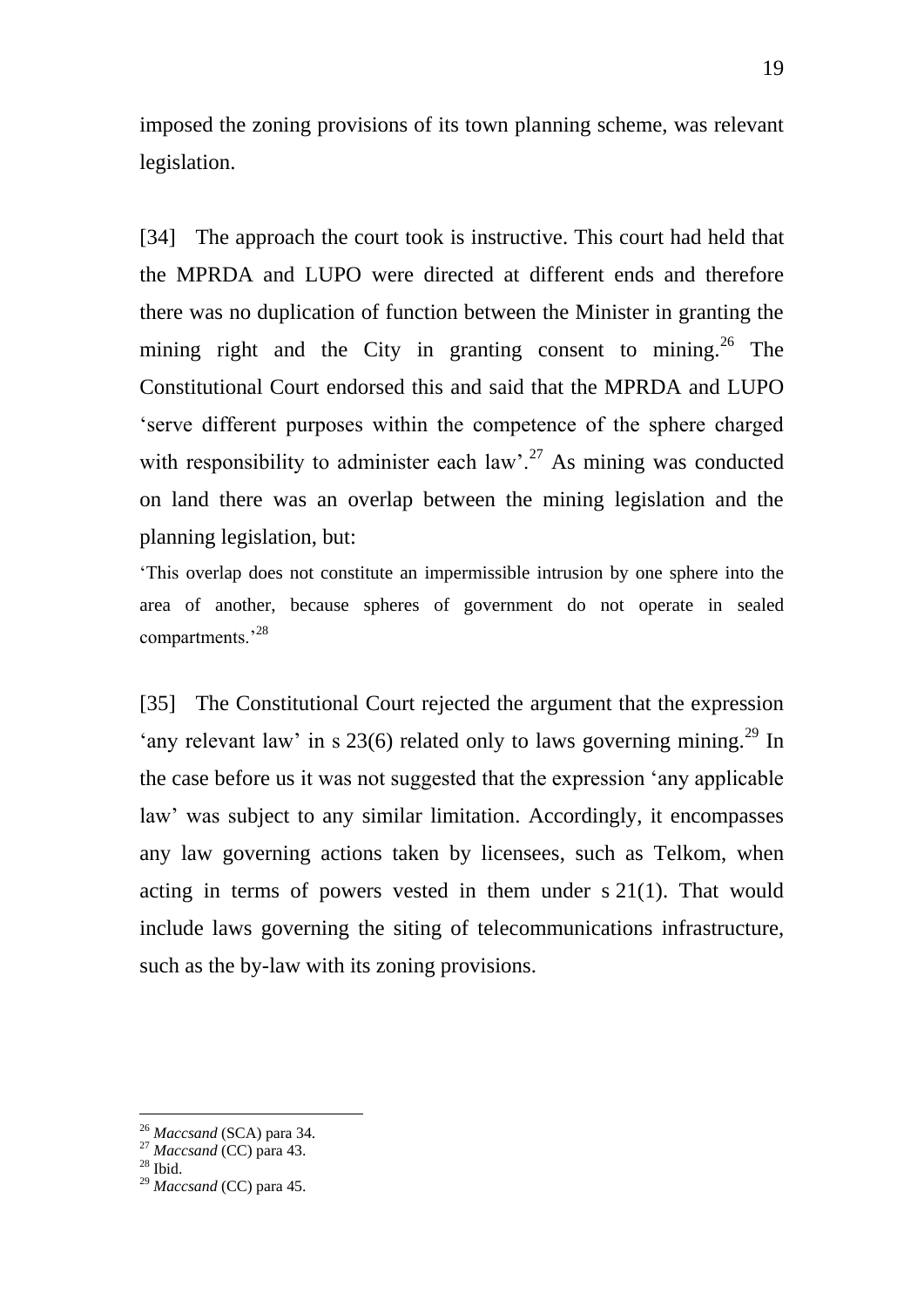imposed the zoning provisions of its town planning scheme, was relevant legislation.

[34] The approach the court took is instructive. This court had held that the MPRDA and LUPO were directed at different ends and therefore there was no duplication of function between the Minister in granting the mining right and the City in granting consent to mining.<sup>26</sup> The Constitutional Court endorsed this and said that the MPRDA and LUPO 'serve different purposes within the competence of the sphere charged with responsibility to administer each law'.<sup>27</sup> As mining was conducted on land there was an overlap between the mining legislation and the planning legislation, but:

'This overlap does not constitute an impermissible intrusion by one sphere into the area of another, because spheres of government do not operate in sealed compartments.'<sup>28</sup>

[35] The Constitutional Court rejected the argument that the expression 'any relevant law' in s 23(6) related only to laws governing mining.<sup>29</sup> In the case before us it was not suggested that the expression 'any applicable law' was subject to any similar limitation. Accordingly, it encompasses any law governing actions taken by licensees, such as Telkom, when acting in terms of powers vested in them under s 21(1). That would include laws governing the siting of telecommunications infrastructure, such as the by-law with its zoning provisions.

<sup>26</sup> *Maccsand* (SCA) para 34.

<sup>27</sup> *Maccsand* (CC) para 43.

 $^\mathrm{28}$  Ibid.

<sup>29</sup> *Maccsand* (CC) para 45.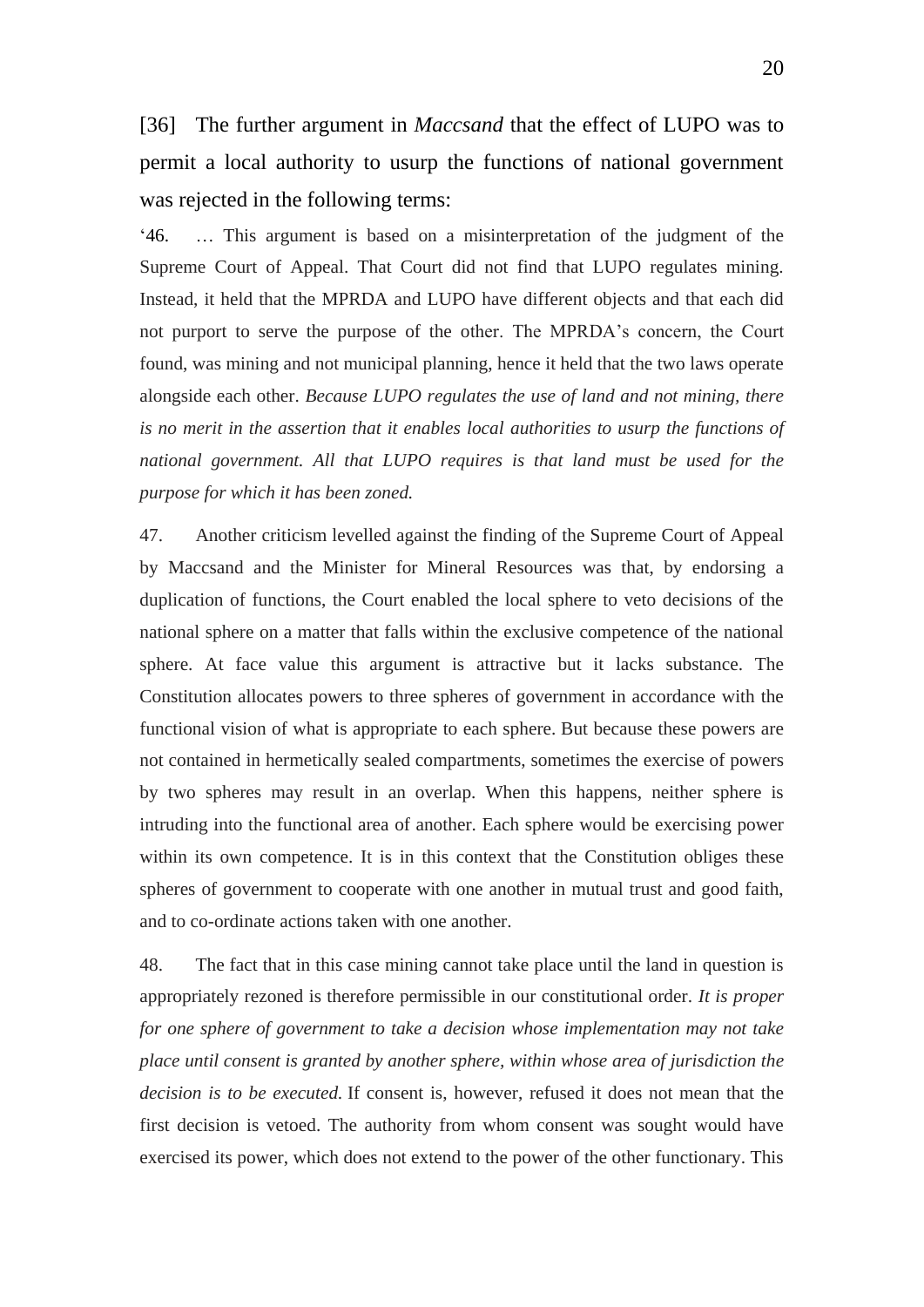[36] The further argument in *Maccsand* that the effect of LUPO was to permit a local authority to usurp the functions of national government was rejected in the following terms:

'46. … This argument is based on a misinterpretation of the judgment of the Supreme Court of Appeal. That Court did not find that LUPO regulates mining. Instead, it held that the MPRDA and LUPO have different objects and that each did not purport to serve the purpose of the other. The MPRDA's concern, the Court found, was mining and not municipal planning, hence it held that the two laws operate alongside each other. *Because LUPO regulates the use of land and not mining, there is no merit in the assertion that it enables local authorities to usurp the functions of national government. All that LUPO requires is that land must be used for the purpose for which it has been zoned.*

47. Another criticism levelled against the finding of the Supreme Court of Appeal by Maccsand and the Minister for Mineral Resources was that, by endorsing a duplication of functions, the Court enabled the local sphere to veto decisions of the national sphere on a matter that falls within the exclusive competence of the national sphere. At face value this argument is attractive but it lacks substance. The Constitution allocates powers to three spheres of government in accordance with the functional vision of what is appropriate to each sphere. But because these powers are not contained in hermetically sealed compartments, sometimes the exercise of powers by two spheres may result in an overlap. When this happens, neither sphere is intruding into the functional area of another. Each sphere would be exercising power within its own competence. It is in this context that the Constitution obliges these spheres of government to cooperate with one another in mutual trust and good faith, and to co-ordinate actions taken with one another.

48. The fact that in this case mining cannot take place until the land in question is appropriately rezoned is therefore permissible in our constitutional order. *It is proper for one sphere of government to take a decision whose implementation may not take place until consent is granted by another sphere, within whose area of jurisdiction the decision is to be executed.* If consent is, however, refused it does not mean that the first decision is vetoed. The authority from whom consent was sought would have exercised its power, which does not extend to the power of the other functionary. This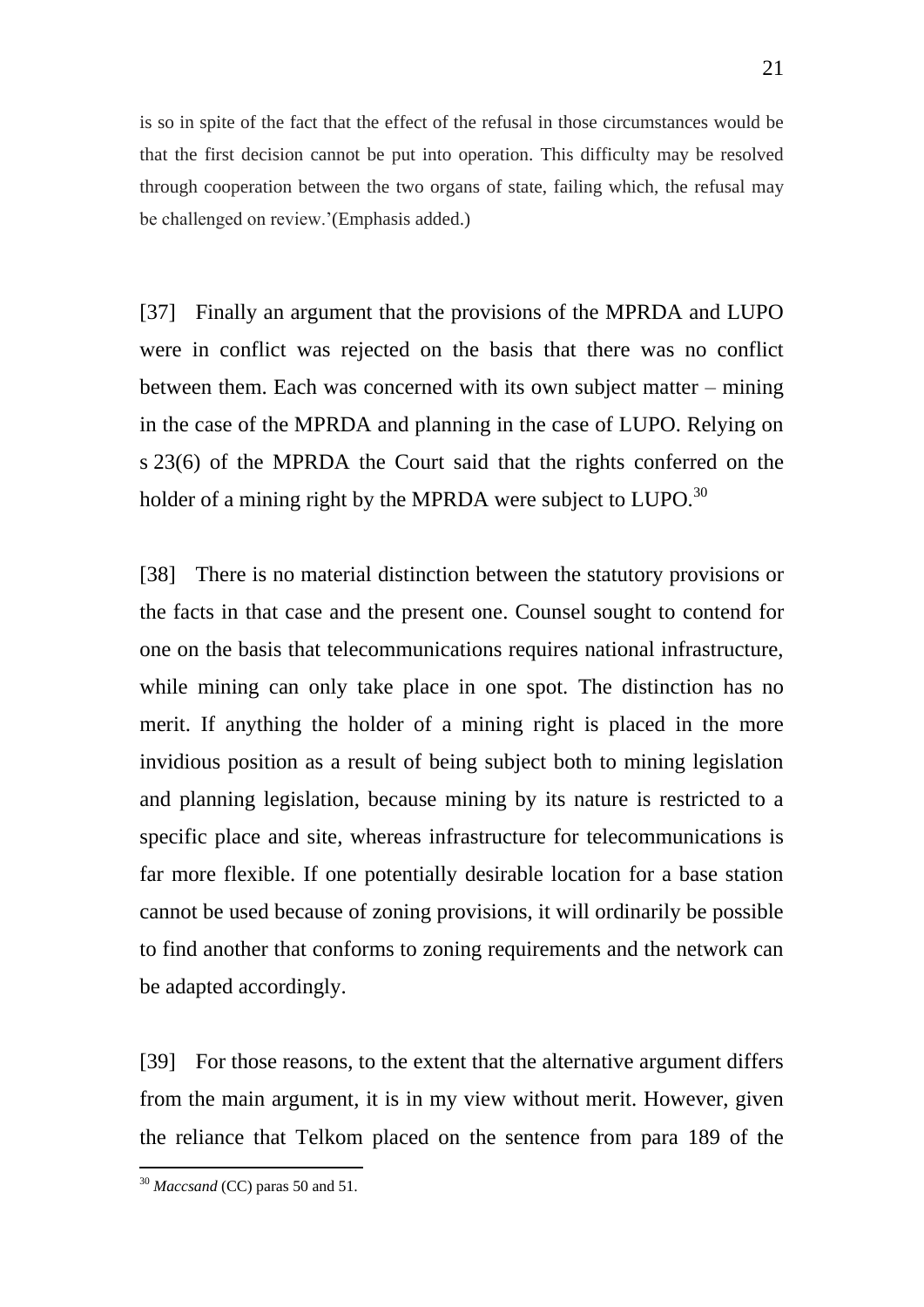is so in spite of the fact that the effect of the refusal in those circumstances would be that the first decision cannot be put into operation. This difficulty may be resolved through cooperation between the two organs of state, failing which, the refusal may be challenged on review.'(Emphasis added.)

[37] Finally an argument that the provisions of the MPRDA and LUPO were in conflict was rejected on the basis that there was no conflict between them. Each was concerned with its own subject matter – mining in the case of the MPRDA and planning in the case of LUPO. Relying on s 23(6) of the MPRDA the Court said that the rights conferred on the holder of a mining right by the MPRDA were subject to  $LUPO.<sup>30</sup>$ 

[38] There is no material distinction between the statutory provisions or the facts in that case and the present one. Counsel sought to contend for one on the basis that telecommunications requires national infrastructure, while mining can only take place in one spot. The distinction has no merit. If anything the holder of a mining right is placed in the more invidious position as a result of being subject both to mining legislation and planning legislation, because mining by its nature is restricted to a specific place and site, whereas infrastructure for telecommunications is far more flexible. If one potentially desirable location for a base station cannot be used because of zoning provisions, it will ordinarily be possible to find another that conforms to zoning requirements and the network can be adapted accordingly.

[39] For those reasons, to the extent that the alternative argument differs from the main argument, it is in my view without merit. However, given the reliance that Telkom placed on the sentence from para 189 of the

<sup>30</sup> *Maccsand* (CC) paras 50 and 51.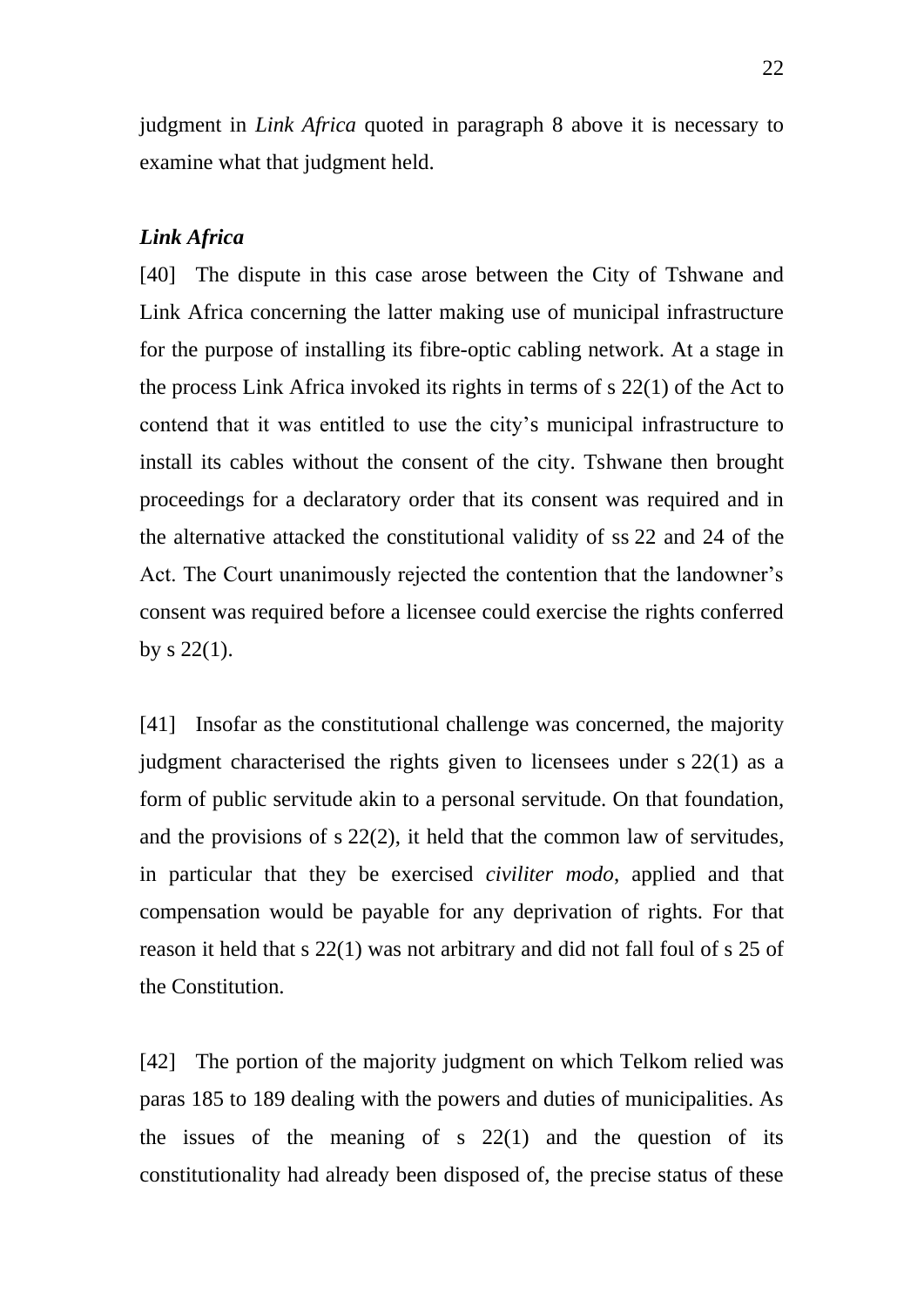judgment in *Link Africa* quoted in paragraph 8 above it is necessary to examine what that judgment held.

# *Link Africa*

[40] The dispute in this case arose between the City of Tshwane and Link Africa concerning the latter making use of municipal infrastructure for the purpose of installing its fibre-optic cabling network. At a stage in the process Link Africa invoked its rights in terms of s 22(1) of the Act to contend that it was entitled to use the city's municipal infrastructure to install its cables without the consent of the city. Tshwane then brought proceedings for a declaratory order that its consent was required and in the alternative attacked the constitutional validity of ss 22 and 24 of the Act. The Court unanimously rejected the contention that the landowner's consent was required before a licensee could exercise the rights conferred by  $s$  22(1).

[41] Insofar as the constitutional challenge was concerned, the majority judgment characterised the rights given to licensees under s 22(1) as a form of public servitude akin to a personal servitude. On that foundation, and the provisions of s 22(2), it held that the common law of servitudes, in particular that they be exercised *civiliter modo*, applied and that compensation would be payable for any deprivation of rights. For that reason it held that s 22(1) was not arbitrary and did not fall foul of s 25 of the Constitution.

[42] The portion of the majority judgment on which Telkom relied was paras 185 to 189 dealing with the powers and duties of municipalities. As the issues of the meaning of s  $22(1)$  and the question of its constitutionality had already been disposed of, the precise status of these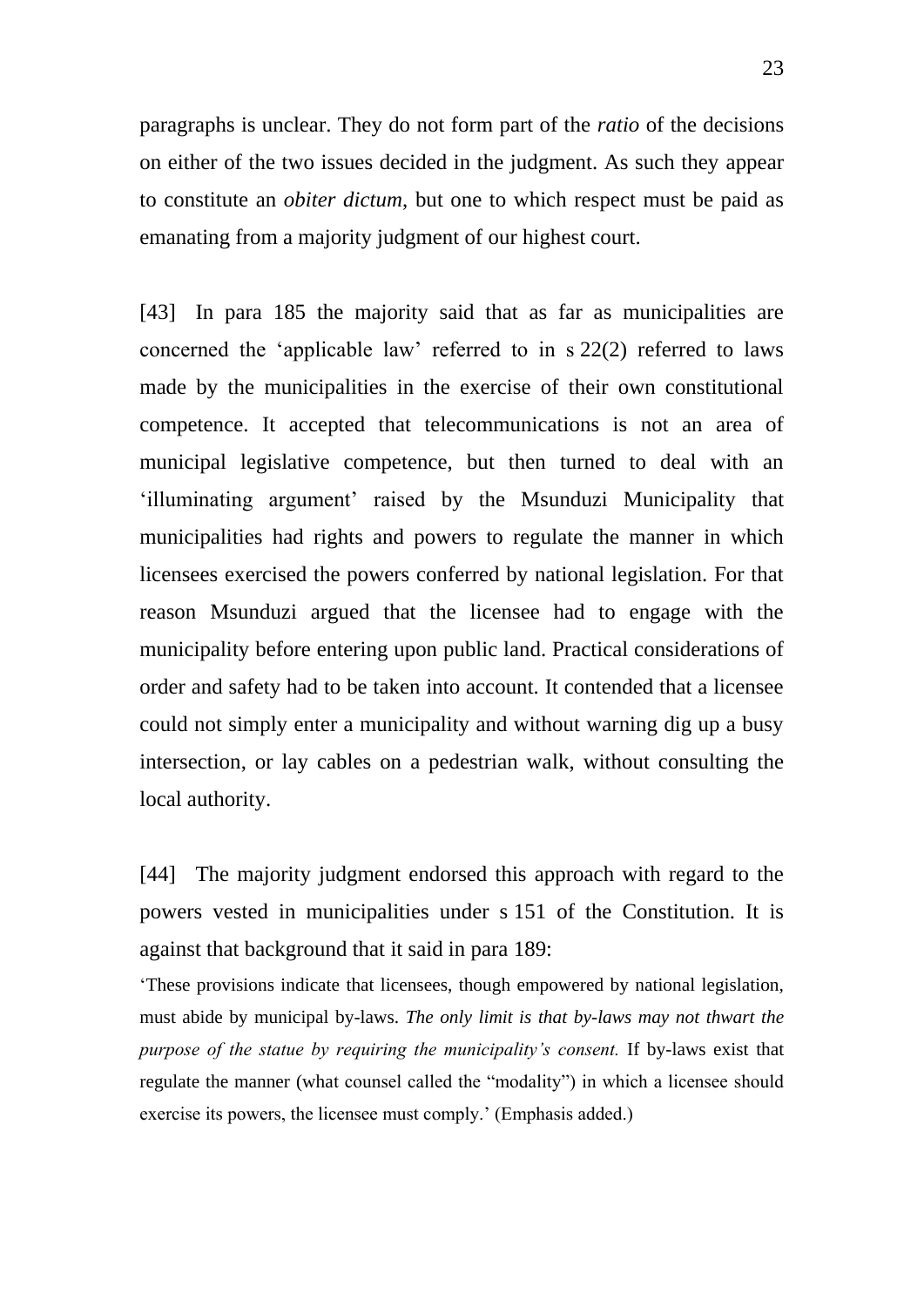paragraphs is unclear. They do not form part of the *ratio* of the decisions on either of the two issues decided in the judgment. As such they appear to constitute an *obiter dictum*, but one to which respect must be paid as emanating from a majority judgment of our highest court.

[43] In para 185 the majority said that as far as municipalities are concerned the 'applicable law' referred to in s 22(2) referred to laws made by the municipalities in the exercise of their own constitutional competence. It accepted that telecommunications is not an area of municipal legislative competence, but then turned to deal with an 'illuminating argument' raised by the Msunduzi Municipality that municipalities had rights and powers to regulate the manner in which licensees exercised the powers conferred by national legislation. For that reason Msunduzi argued that the licensee had to engage with the municipality before entering upon public land. Practical considerations of order and safety had to be taken into account. It contended that a licensee could not simply enter a municipality and without warning dig up a busy intersection, or lay cables on a pedestrian walk, without consulting the local authority.

[44] The majority judgment endorsed this approach with regard to the powers vested in municipalities under s 151 of the Constitution. It is against that background that it said in para 189:

'These provisions indicate that licensees, though empowered by national legislation, must abide by municipal by-laws. *The only limit is that by-laws may not thwart the purpose of the statue by requiring the municipality's consent.* If by-laws exist that regulate the manner (what counsel called the "modality") in which a licensee should exercise its powers, the licensee must comply.' (Emphasis added.)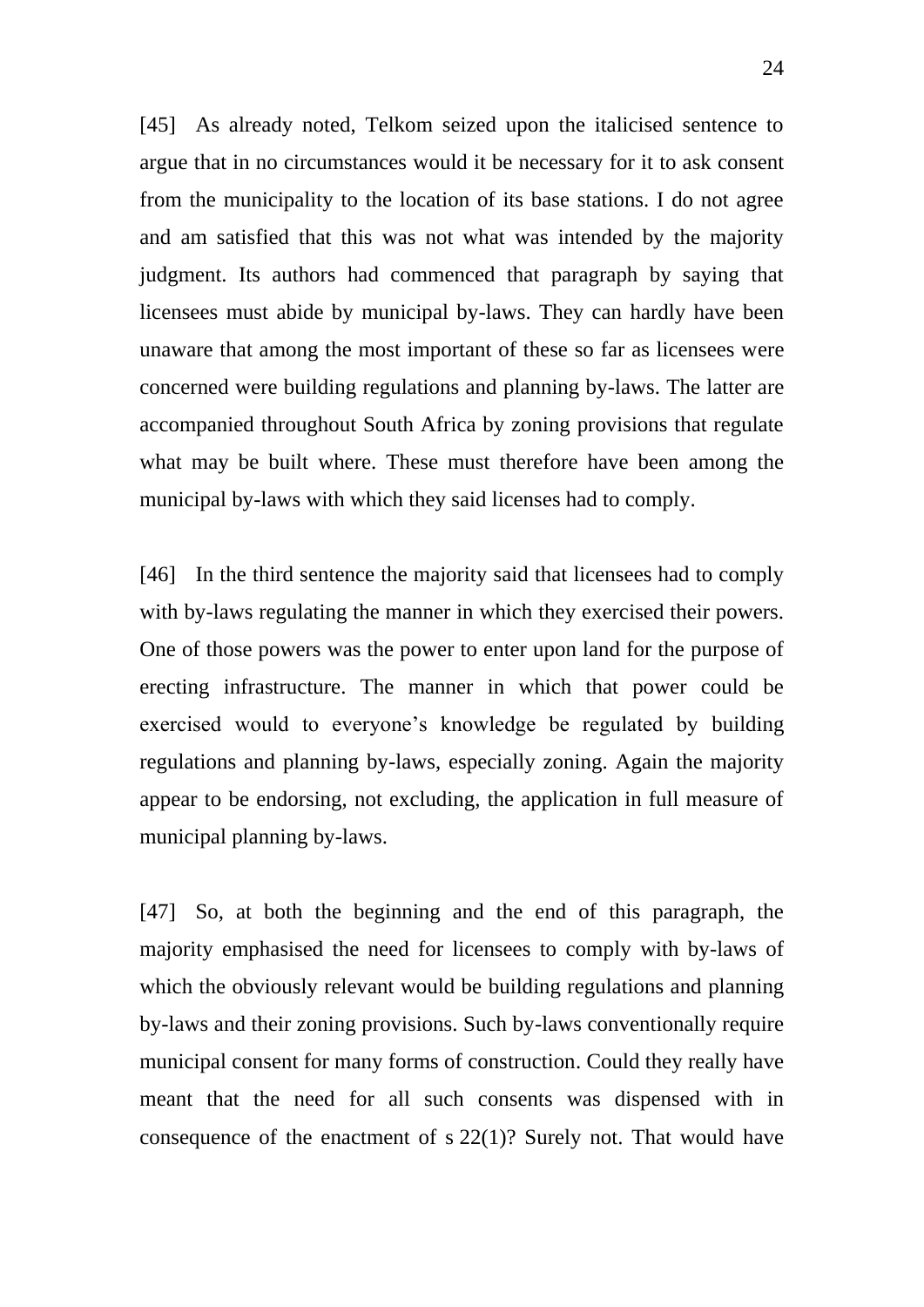[45] As already noted, Telkom seized upon the italicised sentence to argue that in no circumstances would it be necessary for it to ask consent from the municipality to the location of its base stations. I do not agree and am satisfied that this was not what was intended by the majority judgment. Its authors had commenced that paragraph by saying that licensees must abide by municipal by-laws. They can hardly have been unaware that among the most important of these so far as licensees were concerned were building regulations and planning by-laws. The latter are accompanied throughout South Africa by zoning provisions that regulate what may be built where. These must therefore have been among the municipal by-laws with which they said licenses had to comply.

[46] In the third sentence the majority said that licensees had to comply with by-laws regulating the manner in which they exercised their powers. One of those powers was the power to enter upon land for the purpose of erecting infrastructure. The manner in which that power could be exercised would to everyone's knowledge be regulated by building regulations and planning by-laws, especially zoning. Again the majority appear to be endorsing, not excluding, the application in full measure of municipal planning by-laws.

[47] So, at both the beginning and the end of this paragraph, the majority emphasised the need for licensees to comply with by-laws of which the obviously relevant would be building regulations and planning by-laws and their zoning provisions. Such by-laws conventionally require municipal consent for many forms of construction. Could they really have meant that the need for all such consents was dispensed with in consequence of the enactment of s 22(1)? Surely not. That would have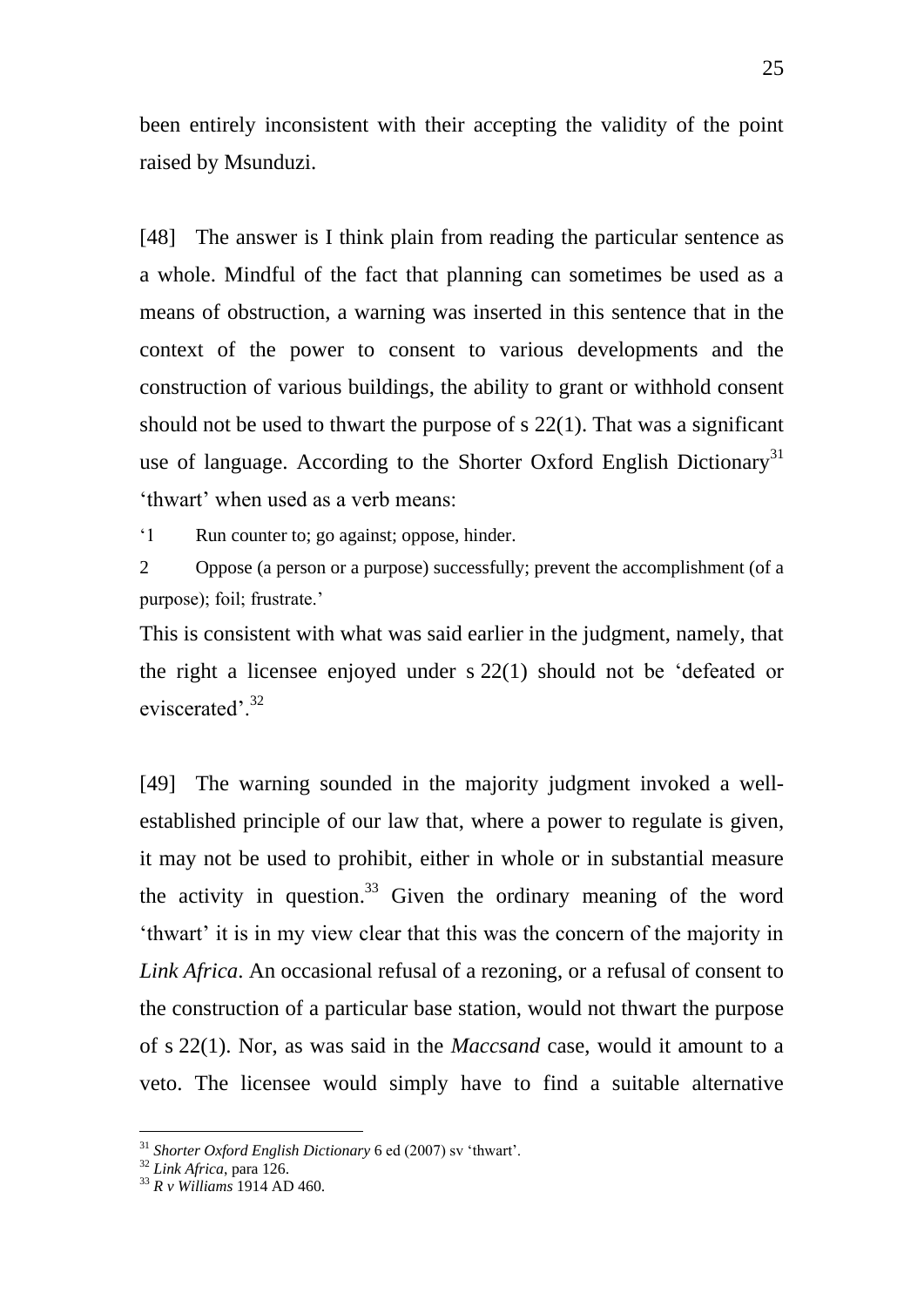been entirely inconsistent with their accepting the validity of the point raised by Msunduzi.

[48] The answer is I think plain from reading the particular sentence as a whole. Mindful of the fact that planning can sometimes be used as a means of obstruction, a warning was inserted in this sentence that in the context of the power to consent to various developments and the construction of various buildings, the ability to grant or withhold consent should not be used to thwart the purpose of s 22(1). That was a significant use of language. According to the Shorter Oxford English Dictionary<sup>31</sup> 'thwart' when used as a verb means:

'1 Run counter to; go against; oppose, hinder.

2 Oppose (a person or a purpose) successfully; prevent the accomplishment (of a purpose); foil; frustrate.'

This is consistent with what was said earlier in the judgment, namely, that the right a licensee enjoyed under s 22(1) should not be 'defeated or eviscerated'.<sup>32</sup>

[49] The warning sounded in the majority judgment invoked a wellestablished principle of our law that, where a power to regulate is given, it may not be used to prohibit, either in whole or in substantial measure the activity in question.<sup>33</sup> Given the ordinary meaning of the word 'thwart' it is in my view clear that this was the concern of the majority in *Link Africa*. An occasional refusal of a rezoning, or a refusal of consent to the construction of a particular base station, would not thwart the purpose of s 22(1). Nor, as was said in the *Maccsand* case, would it amount to a veto. The licensee would simply have to find a suitable alternative

<sup>31</sup> *Shorter Oxford English Dictionary* 6 ed (2007) sv 'thwart'.

<sup>32</sup> *Link Africa*, para 126.

<sup>33</sup> *R v Williams* 1914 AD 460.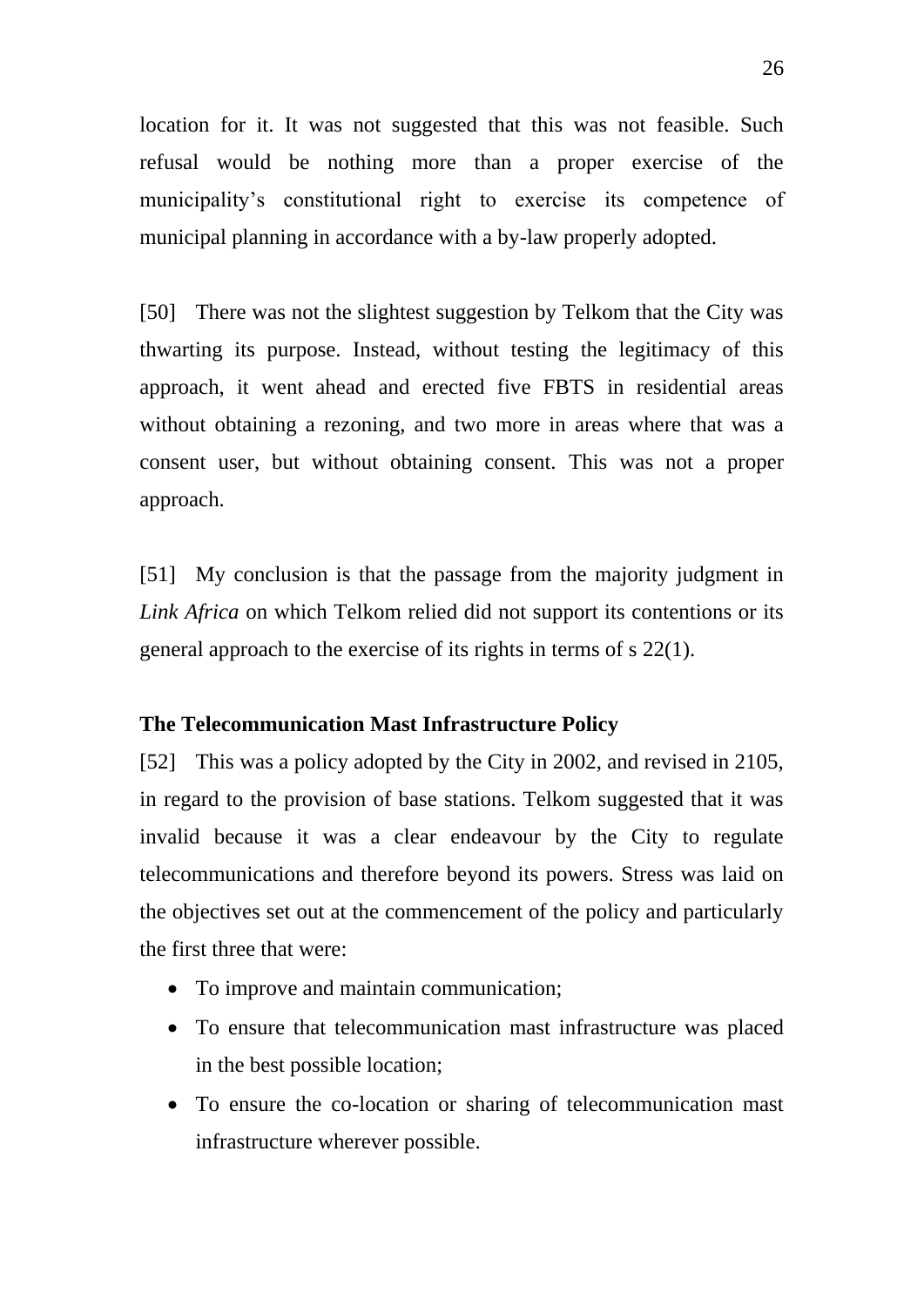location for it. It was not suggested that this was not feasible. Such refusal would be nothing more than a proper exercise of the municipality's constitutional right to exercise its competence of municipal planning in accordance with a by-law properly adopted.

[50] There was not the slightest suggestion by Telkom that the City was thwarting its purpose. Instead, without testing the legitimacy of this approach, it went ahead and erected five FBTS in residential areas without obtaining a rezoning, and two more in areas where that was a consent user, but without obtaining consent. This was not a proper approach.

[51] My conclusion is that the passage from the majority judgment in *Link Africa* on which Telkom relied did not support its contentions or its general approach to the exercise of its rights in terms of s 22(1).

# **The Telecommunication Mast Infrastructure Policy**

[52] This was a policy adopted by the City in 2002, and revised in 2105, in regard to the provision of base stations. Telkom suggested that it was invalid because it was a clear endeavour by the City to regulate telecommunications and therefore beyond its powers. Stress was laid on the objectives set out at the commencement of the policy and particularly the first three that were:

- To improve and maintain communication;
- To ensure that telecommunication mast infrastructure was placed in the best possible location;
- To ensure the co-location or sharing of telecommunication mast infrastructure wherever possible.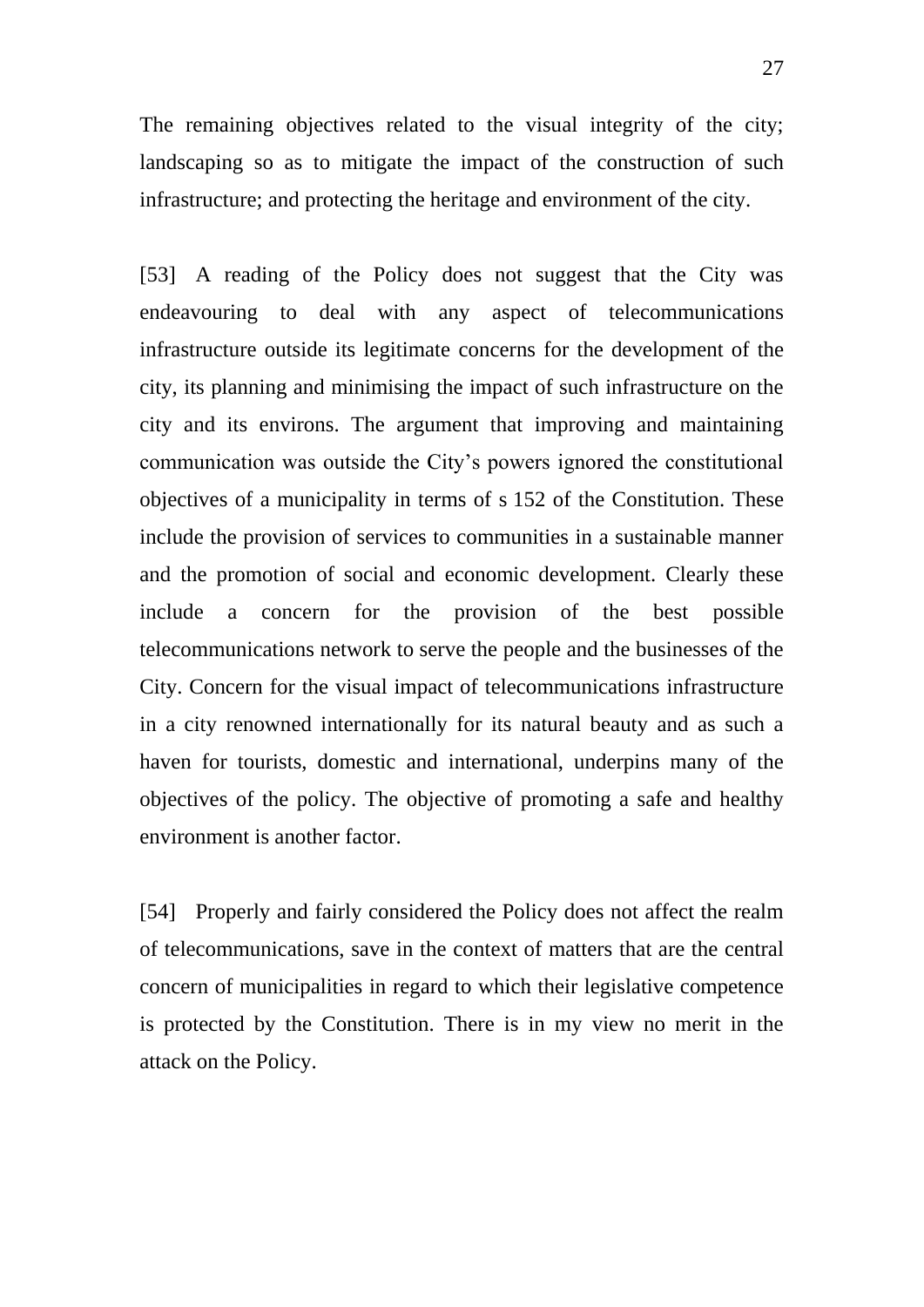The remaining objectives related to the visual integrity of the city; landscaping so as to mitigate the impact of the construction of such infrastructure; and protecting the heritage and environment of the city.

[53] A reading of the Policy does not suggest that the City was endeavouring to deal with any aspect of telecommunications infrastructure outside its legitimate concerns for the development of the city, its planning and minimising the impact of such infrastructure on the city and its environs. The argument that improving and maintaining communication was outside the City's powers ignored the constitutional objectives of a municipality in terms of s 152 of the Constitution. These include the provision of services to communities in a sustainable manner and the promotion of social and economic development. Clearly these include a concern for the provision of the best possible telecommunications network to serve the people and the businesses of the City. Concern for the visual impact of telecommunications infrastructure in a city renowned internationally for its natural beauty and as such a haven for tourists, domestic and international, underpins many of the objectives of the policy. The objective of promoting a safe and healthy environment is another factor.

[54] Properly and fairly considered the Policy does not affect the realm of telecommunications, save in the context of matters that are the central concern of municipalities in regard to which their legislative competence is protected by the Constitution. There is in my view no merit in the attack on the Policy.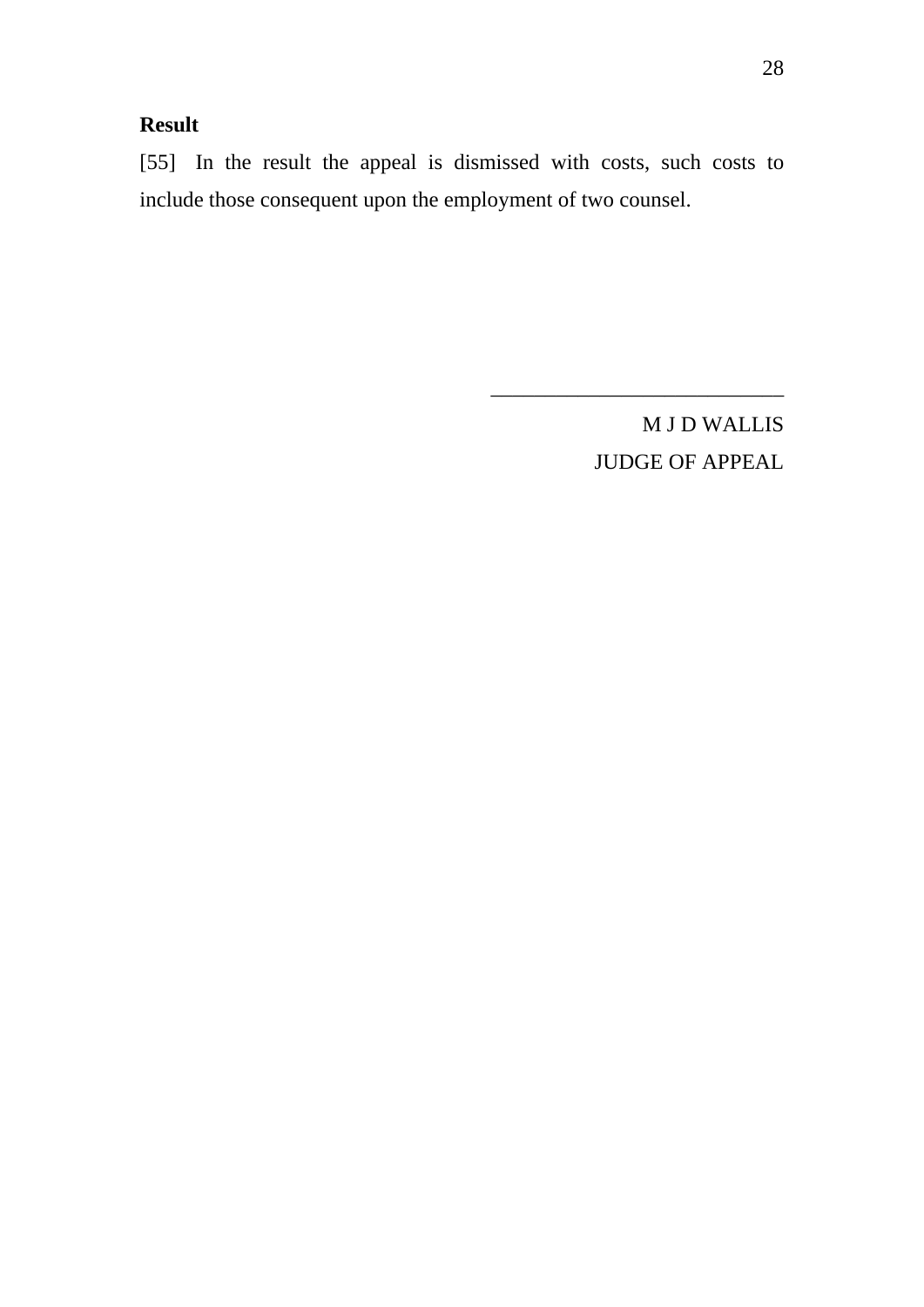# **Result**

[55] In the result the appeal is dismissed with costs, such costs to include those consequent upon the employment of two counsel.

> M J D WALLIS JUDGE OF APPEAL

\_\_\_\_\_\_\_\_\_\_\_\_\_\_\_\_\_\_\_\_\_\_\_\_\_\_\_